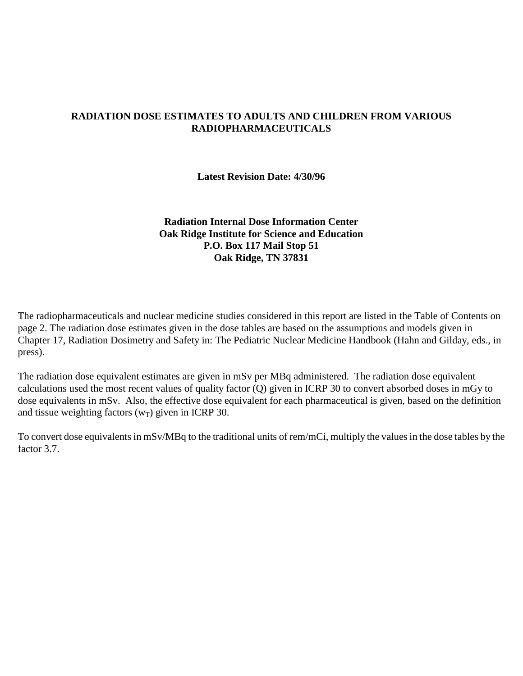## **RADIATION DOSE ESTIMATES TO ADULTS AND CHILDREN FROM VARIOUS RADIOPHARMACEUTICALS**

**Latest Revision Date: 4/30/96** 

### **Radiation Internal Dose Information Center Oak Ridge Institute for Science and Education P.O. Box 117 Mail Stop 51 Oak Ridge, TN 37831**

The radiopharmaceuticals and nuclear medicine studies considered in this report are listed in the Table of Contents on page 2. The radiation dose estimates given in the dose tables are based on the assumptions and models given in Chapter 17, Radiation Dosimetry and Safety in: The Pediatric Nuclear Medicine Handbook (Hahn and Gilday, eds., in press).

The radiation dose equivalent estimates are given in mSv per MBq administered. The radiation dose equivalent calculations used the most recent values of quality factor (Q) given in ICRP 30 to convert absorbed doses in mGy to dose equivalents in mSv. Also, the effective dose equivalent for each pharmaceutical is given, based on the definition and tissue weighting factors  $(w_T)$  given in ICRP 30.

To convert dose equivalents in mSv/MBq to the traditional units of rem/mCi, multiply the values in the dose tables by the factor 3.7.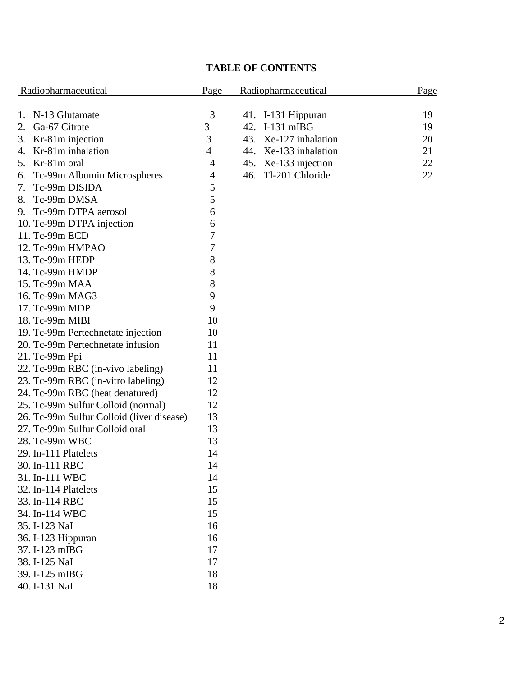# **TABLE OF CONTENTS**

| Radiopharmaceutical                       | Page | Radiopharmaceutical                  | Page |  |
|-------------------------------------------|------|--------------------------------------|------|--|
| N-13 Glutamate<br>1.                      | 3    |                                      | 19   |  |
| Ga-67 Citrate<br>2.                       | 3    | 41. I-131 Hippuran<br>42. I-131 mIBG | 19   |  |
| Kr-81m injection<br>3.                    | 3    | 43. Xe-127 inhalation                | 20   |  |
| Kr-81m inhalation<br>4.                   | 4    | 44. Xe-133 inhalation                | 21   |  |
| 5. Kr-81m oral                            | 4    | 45. Xe-133 injection                 | 22   |  |
| Tc-99m Albumin Microspheres<br>6.         | 4    | Tl-201 Chloride<br>46.               | 22   |  |
| Tc-99m DISIDA<br>7.                       | 5    |                                      |      |  |
| Tc-99m DMSA<br>8.                         | 5    |                                      |      |  |
| Tc-99m DTPA aerosol<br>9.                 | 6    |                                      |      |  |
| 10. Tc-99m DTPA injection                 | 6    |                                      |      |  |
| 11. Tc-99m ECD                            | 7    |                                      |      |  |
| 12. Tc-99m HMPAO                          | 7    |                                      |      |  |
| 13. Tc-99m HEDP                           | 8    |                                      |      |  |
| 14. Tc-99m HMDP                           | 8    |                                      |      |  |
| 15. Tc-99m MAA                            | 8    |                                      |      |  |
| 16. Tc-99m MAG3                           | 9    |                                      |      |  |
| 17. Tc-99m MDP                            | 9    |                                      |      |  |
| 18. Tc-99m MIBI                           | 10   |                                      |      |  |
| 19. Tc-99m Pertechnetate injection        | 10   |                                      |      |  |
| 20. Tc-99m Pertechnetate infusion         | 11   |                                      |      |  |
| 21. Tc-99m Ppi                            | 11   |                                      |      |  |
| 22. Tc-99m RBC (in-vivo labeling)         | 11   |                                      |      |  |
| 23. Tc-99m RBC (in-vitro labeling)        | 12   |                                      |      |  |
| 24. Tc-99m RBC (heat denatured)           | 12   |                                      |      |  |
| 25. Tc-99m Sulfur Colloid (normal)        | 12   |                                      |      |  |
| 26. Tc-99m Sulfur Colloid (liver disease) | 13   |                                      |      |  |
| 27. Tc-99m Sulfur Colloid oral            | 13   |                                      |      |  |
| 28. Tc-99m WBC                            | 13   |                                      |      |  |
| 29. In-111 Platelets                      | 14   |                                      |      |  |
| 30. In-111 RBC                            | 14   |                                      |      |  |
| 31. In-111 WBC                            | 14   |                                      |      |  |
| 32. In-114 Platelets                      | 15   |                                      |      |  |
| 33. In-114 RBC                            | 15   |                                      |      |  |
| 34. In-114 WBC                            | 15   |                                      |      |  |
| 35. I-123 NaI                             | 16   |                                      |      |  |
| 36. I-123 Hippuran                        | 16   |                                      |      |  |
| 37. I-123 mIBG                            | 17   |                                      |      |  |
| 38. I-125 NaI                             | 17   |                                      |      |  |
| 39. I-125 mIBG                            | 18   |                                      |      |  |
| 40. I-131 NaI                             | 18   |                                      |      |  |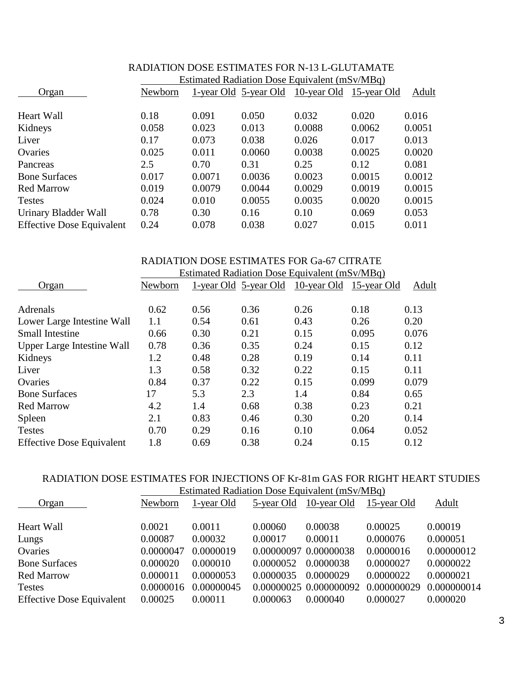|                                  | <u>Estimated Radiation Dose Equivalent (mSv/MBq)</u> |        |                       |                         |        |        |  |  |
|----------------------------------|------------------------------------------------------|--------|-----------------------|-------------------------|--------|--------|--|--|
| Organ                            | Newborn                                              |        | 1-year Old 5-year Old | 10-year Old 15-year Old |        | Adult  |  |  |
| <b>Heart Wall</b>                | 0.18                                                 | 0.091  | 0.050                 | 0.032                   | 0.020  | 0.016  |  |  |
| Kidneys                          | 0.058                                                | 0.023  | 0.013                 | 0.0088                  | 0.0062 | 0.0051 |  |  |
| Liver                            | 0.17                                                 | 0.073  | 0.038                 | 0.026                   | 0.017  | 0.013  |  |  |
| Ovaries                          | 0.025                                                | 0.011  | 0.0060                | 0.0038                  | 0.0025 | 0.0020 |  |  |
| Pancreas                         | 2.5                                                  | 0.70   | 0.31                  | 0.25                    | 0.12   | 0.081  |  |  |
| <b>Bone Surfaces</b>             | 0.017                                                | 0.0071 | 0.0036                | 0.0023                  | 0.0015 | 0.0012 |  |  |
| <b>Red Marrow</b>                | 0.019                                                | 0.0079 | 0.0044                | 0.0029                  | 0.0019 | 0.0015 |  |  |
| <b>Testes</b>                    | 0.024                                                | 0.010  | 0.0055                | 0.0035                  | 0.0020 | 0.0015 |  |  |
| Urinary Bladder Wall             | 0.78                                                 | 0.30   | 0.16                  | 0.10                    | 0.069  | 0.053  |  |  |
| <b>Effective Dose Equivalent</b> | 0.24                                                 | 0.078  | 0.038                 | 0.027                   | 0.015  | 0.011  |  |  |

### RADIATION DOSE ESTIMATES FOR N-13 L-GLUTAMATE Estimated Radiation Dose Equivalent (mSv/MBq)

#### RADIATION DOSE ESTIMATES FOR Ga-67 CITRATE Estimated Padiation Dose Equivalent  $(mS_V/MR_Q)$

|                                   | Estimated Radiation Dose Equivalent (mSV/MBq) |      |                       |             |             |       |  |
|-----------------------------------|-----------------------------------------------|------|-----------------------|-------------|-------------|-------|--|
| Organ                             | Newborn                                       |      | 1-year Old 5-year Old | 10-year Old | 15-year Old | Adult |  |
|                                   |                                               |      |                       |             |             |       |  |
| Adrenals                          | 0.62                                          | 0.56 | 0.36                  | 0.26        | 0.18        | 0.13  |  |
| Lower Large Intestine Wall        | 1.1                                           | 0.54 | 0.61                  | 0.43        | 0.26        | 0.20  |  |
| <b>Small Intestine</b>            | 0.66                                          | 0.30 | 0.21                  | 0.15        | 0.095       | 0.076 |  |
| <b>Upper Large Intestine Wall</b> | 0.78                                          | 0.36 | 0.35                  | 0.24        | 0.15        | 0.12  |  |
| Kidneys                           | 1.2                                           | 0.48 | 0.28                  | 0.19        | 0.14        | 0.11  |  |
| Liver                             | 1.3                                           | 0.58 | 0.32                  | 0.22        | 0.15        | 0.11  |  |
| Ovaries                           | 0.84                                          | 0.37 | 0.22                  | 0.15        | 0.099       | 0.079 |  |
| <b>Bone Surfaces</b>              | 17                                            | 5.3  | 2.3                   | 1.4         | 0.84        | 0.65  |  |
| <b>Red Marrow</b>                 | 4.2                                           | 1.4  | 0.68                  | 0.38        | 0.23        | 0.21  |  |
| Spleen                            | 2.1                                           | 0.83 | 0.46                  | 0.30        | 0.20        | 0.14  |  |
| <b>Testes</b>                     | 0.70                                          | 0.29 | 0.16                  | 0.10        | 0.064       | 0.052 |  |
| <b>Effective Dose Equivalent</b>  | 1.8                                           | 0.69 | 0.38                  | 0.24        | 0.15        | 0.12  |  |

#### RADIATION DOSE ESTIMATES FOR INJECTIONS OF Kr-81m GAS FOR RIGHT HEART STUDIES Estimated Radiation Dose Equivalent  $(mSv/MBa)$

|                                  | ESUINACU NACHAUCH DOSC EQUIVAICHI (1115 V/MDG) |            |                       |                        |             |             |  |  |
|----------------------------------|------------------------------------------------|------------|-----------------------|------------------------|-------------|-------------|--|--|
| Organ                            | Newborn                                        | 1-year Old | 5-year Old            | 10-year Old            | 15-year Old | Adult       |  |  |
| <b>Heart Wall</b>                | 0.0021                                         | 0.0011     | 0.00060               | 0.00038                | 0.00025     | 0.00019     |  |  |
| Lungs                            | 0.00087                                        | 0.00032    | 0.00017               | 0.00011                | 0.000076    | 0.000051    |  |  |
| Ovaries                          | 0.0000047                                      | 0.0000019  | 0.00000097 0.00000038 |                        | 0.0000016   | 0.00000012  |  |  |
| <b>Bone Surfaces</b>             | 0.000020                                       | 0.000010   | 0.0000052             | 0.0000038              | 0.0000027   | 0.0000022   |  |  |
| <b>Red Marrow</b>                | 0.000011                                       | 0.0000053  | 0.0000035             | 0.0000029              | 0.0000022   | 0.0000021   |  |  |
| <b>Testes</b>                    | 0.0000016                                      | 0.00000045 |                       | 0.00000025 0.000000092 | 0.000000029 | 0.000000014 |  |  |
| <b>Effective Dose Equivalent</b> | 0.00025                                        | 0.00011    | 0.000063              | 0.000040               | 0.000027    | 0.000020    |  |  |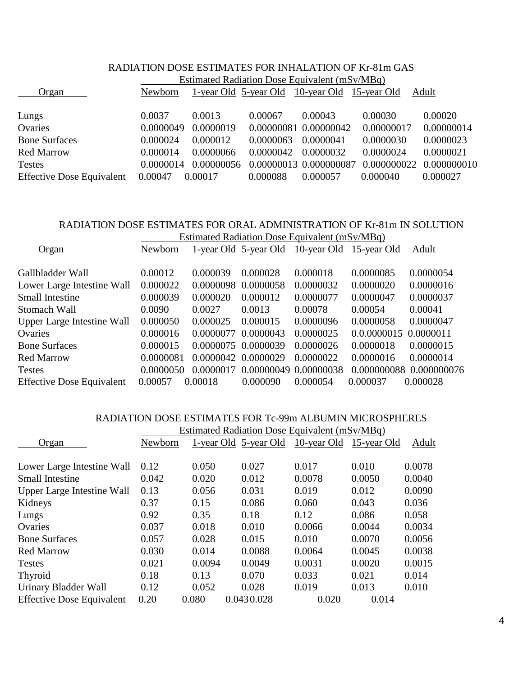| RADIATION DOSE ESTIMATES FOR INHALATION OF Kr-81m GAS |                                                      |            |                       |                                                      |             |             |  |  |
|-------------------------------------------------------|------------------------------------------------------|------------|-----------------------|------------------------------------------------------|-------------|-------------|--|--|
|                                                       | <b>Estimated Radiation Dose Equivalent (mSv/MBq)</b> |            |                       |                                                      |             |             |  |  |
| Organ                                                 | Newborn                                              |            |                       | <u>1-year Old 5-year Old 10-year Old 15-year Old</u> |             | Adult       |  |  |
|                                                       |                                                      |            |                       |                                                      |             |             |  |  |
| Lungs                                                 | 0.0037                                               | 0.0013     | 0.00067               | 0.00043                                              | 0.00030     | 0.00020     |  |  |
| Ovaries                                               | 0.0000049                                            | 0.0000019  | 0.00000081 0.00000042 |                                                      | 0.00000017  | 0.00000014  |  |  |
| <b>Bone Surfaces</b>                                  | 0.000024                                             | 0.000012   | 0.0000063             | 0.0000041                                            | 0.0000030   | 0.0000023   |  |  |
| <b>Red Marrow</b>                                     | 0.000014                                             | 0.0000066  | 0.0000042             | 0.0000032                                            | 0.0000024   | 0.0000021   |  |  |
| <b>Testes</b>                                         | 0.0000014                                            | 0.00000056 |                       | 0.00000013 0.000000087                               | 0.000000022 | 0.000000010 |  |  |
| <b>Effective Dose Equivalent</b>                      | 0.00047                                              | 0.00017    | 0.000088              | 0.000057                                             | 0.000040    | 0.000027    |  |  |

### RADIATION DOSE ESTIMATES FOR ORAL ADMINISTRATION OF Kr-81m IN SOLUTION eted Rediction Dose Equivalent  $(mS_V/MD_Q)$

|                                   | Estimated Radiation Dose Equivalent (mSV/MBq) |                     |                       |           |                         |                         |  |
|-----------------------------------|-----------------------------------------------|---------------------|-----------------------|-----------|-------------------------|-------------------------|--|
| Organ                             | Newborn                                       |                     | 1-year Old 5-year Old |           | 10-year Old 15-year Old | Adult                   |  |
|                                   |                                               |                     |                       |           |                         |                         |  |
| Gallbladder Wall                  | 0.00012                                       | 0.000039            | 0.000028              | 0.000018  | 0.0000085               | 0.0000054               |  |
| Lower Large Intestine Wall        | 0.000022                                      | 0.0000098           | 0.0000058             | 0.0000032 | 0.0000020               | 0.0000016               |  |
| <b>Small Intestine</b>            | 0.000039                                      | 0.000020            | 0.000012              | 0.0000077 | 0.0000047               | 0.0000037               |  |
| Stomach Wall                      | 0.0090                                        | 0.0027              | 0.0013                | 0.00078   | 0.00054                 | 0.00041                 |  |
| <b>Upper Large Intestine Wall</b> | 0.000050                                      | 0.000025            | 0.000015              | 0.0000096 | 0.0000058               | 0.0000047               |  |
| Ovaries                           | 0.000016                                      | 0.0000077 0.0000043 |                       | 0.0000025 | 0.0.0000015 0.0000011   |                         |  |
| <b>Bone Surfaces</b>              | 0.000015                                      | 0.0000075 0.0000039 |                       | 0.0000026 | 0.0000018               | 0.0000015               |  |
| <b>Red Marrow</b>                 | 0.0000081                                     | 0.0000042 0.0000029 |                       | 0.0000022 | 0.0000016               | 0.0000014               |  |
| <b>Testes</b>                     | 0.0000050                                     | 0.0000017           | 0.00000049 0.00000038 |           |                         | 0.000000088 0.000000076 |  |
| <b>Effective Dose Equivalent</b>  | 0.00057                                       | 0.00018             | 0.000090              | 0.000054  | 0.000037                | 0.000028                |  |

### RADIATION DOSE ESTIMATES FOR Tc-99m ALBUMIN MICROSPHERES

|                                   | Estimated Radiation Dose Equivalent (mSv/MBq) |        |                       |                         |        |        |  |
|-----------------------------------|-----------------------------------------------|--------|-----------------------|-------------------------|--------|--------|--|
| Organ                             | Newborn                                       |        | 1-year Old 5-year Old | 10-year Old 15-year Old |        | Adult  |  |
| Lower Large Intestine Wall        | 0.12                                          | 0.050  | 0.027                 | 0.017                   | 0.010  | 0.0078 |  |
| <b>Small Intestine</b>            | 0.042                                         | 0.020  | 0.012                 | 0.0078                  | 0.0050 | 0.0040 |  |
| <b>Upper Large Intestine Wall</b> | 0.13                                          | 0.056  | 0.031                 | 0.019                   | 0.012  | 0.0090 |  |
| Kidneys                           | 0.37                                          | 0.15   | 0.086                 | 0.060                   | 0.043  | 0.036  |  |
| Lungs                             | 0.92                                          | 0.35   | 0.18                  | 0.12                    | 0.086  | 0.058  |  |
| Ovaries                           | 0.037                                         | 0.018  | 0.010                 | 0.0066                  | 0.0044 | 0.0034 |  |
| <b>Bone Surfaces</b>              | 0.057                                         | 0.028  | 0.015                 | 0.010                   | 0.0070 | 0.0056 |  |
| <b>Red Marrow</b>                 | 0.030                                         | 0.014  | 0.0088                | 0.0064                  | 0.0045 | 0.0038 |  |
| <b>Testes</b>                     | 0.021                                         | 0.0094 | 0.0049                | 0.0031                  | 0.0020 | 0.0015 |  |
| Thyroid                           | 0.18                                          | 0.13   | 0.070                 | 0.033                   | 0.021  | 0.014  |  |
| Urinary Bladder Wall              | 0.12                                          | 0.052  | 0.028                 | 0.019                   | 0.013  | 0.010  |  |
| <b>Effective Dose Equivalent</b>  | 0.20                                          | 0.080  | 0.0430.028            | 0.020                   | 0.014  |        |  |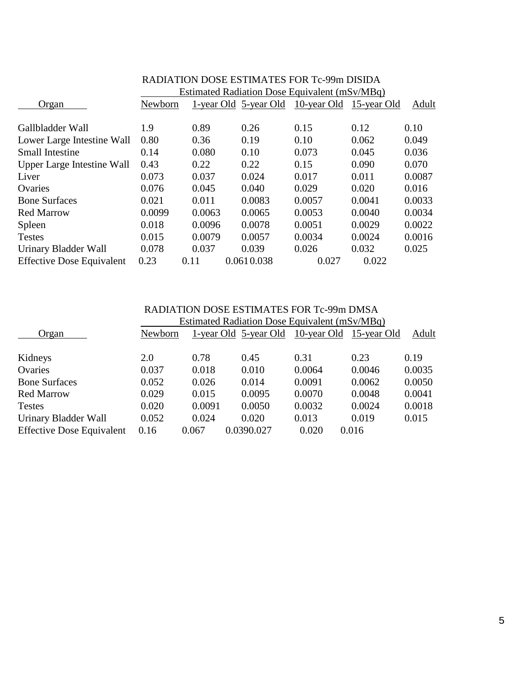|                                   | RADIATION DOSE ESTIMATES FOR Tc-99m DISIDA    |        |                       |                         |        |        |  |
|-----------------------------------|-----------------------------------------------|--------|-----------------------|-------------------------|--------|--------|--|
|                                   | Estimated Radiation Dose Equivalent (mSv/MBq) |        |                       |                         |        |        |  |
| Organ                             | Newborn                                       |        | 1-year Old 5-year Old | 10-year Old 15-year Old |        | Adult  |  |
| Gallbladder Wall                  | 1.9                                           | 0.89   | 0.26                  | 0.15                    | 0.12   | 0.10   |  |
| Lower Large Intestine Wall        | 0.80                                          | 0.36   | 0.19                  | 0.10                    | 0.062  | 0.049  |  |
| <b>Small Intestine</b>            | 0.14                                          | 0.080  | 0.10                  | 0.073                   | 0.045  | 0.036  |  |
| <b>Upper Large Intestine Wall</b> | 0.43                                          | 0.22   | 0.22                  | 0.15                    | 0.090  | 0.070  |  |
| Liver                             | 0.073                                         | 0.037  | 0.024                 | 0.017                   | 0.011  | 0.0087 |  |
| Ovaries                           | 0.076                                         | 0.045  | 0.040                 | 0.029                   | 0.020  | 0.016  |  |
| <b>Bone Surfaces</b>              | 0.021                                         | 0.011  | 0.0083                | 0.0057                  | 0.0041 | 0.0033 |  |
| <b>Red Marrow</b>                 | 0.0099                                        | 0.0063 | 0.0065                | 0.0053                  | 0.0040 | 0.0034 |  |
| Spleen                            | 0.018                                         | 0.0096 | 0.0078                | 0.0051                  | 0.0029 | 0.0022 |  |
| <b>Testes</b>                     | 0.015                                         | 0.0079 | 0.0057                | 0.0034                  | 0.0024 | 0.0016 |  |
| Urinary Bladder Wall              | 0.078                                         | 0.037  | 0.039                 | 0.026                   | 0.032  | 0.025  |  |
| <b>Effective Dose Equivalent</b>  | 0.23                                          | 0.11   | 0.0610.038            | 0.027                   | 0.022  |        |  |

|                                  | RADIATION DOSE ESTIMATES FOR Tc-99m DMSA |                                               |                                               |        |        |        |  |  |  |
|----------------------------------|------------------------------------------|-----------------------------------------------|-----------------------------------------------|--------|--------|--------|--|--|--|
|                                  |                                          | Estimated Radiation Dose Equivalent (mSv/MBq) |                                               |        |        |        |  |  |  |
| Organ                            | Newborn                                  |                                               | 1-year Old 5-year Old 10-year Old 15-year Old |        |        | Adult  |  |  |  |
|                                  |                                          |                                               |                                               |        |        |        |  |  |  |
| Kidneys                          | 2.0                                      | 0.78                                          | 0.45                                          | 0.31   | 0.23   | 0.19   |  |  |  |
| Ovaries                          | 0.037                                    | 0.018                                         | 0.010                                         | 0.0064 | 0.0046 | 0.0035 |  |  |  |
| <b>Bone Surfaces</b>             | 0.052                                    | 0.026                                         | 0.014                                         | 0.0091 | 0.0062 | 0.0050 |  |  |  |
| <b>Red Marrow</b>                | 0.029                                    | 0.015                                         | 0.0095                                        | 0.0070 | 0.0048 | 0.0041 |  |  |  |
| <b>Testes</b>                    | 0.020                                    | 0.0091                                        | 0.0050                                        | 0.0032 | 0.0024 | 0.0018 |  |  |  |
| Urinary Bladder Wall             | 0.052                                    | 0.024                                         | 0.020                                         | 0.013  | 0.019  | 0.015  |  |  |  |
| <b>Effective Dose Equivalent</b> | 0.16                                     | 0.067                                         | 0.0390.027                                    | 0.020  | 0.016  |        |  |  |  |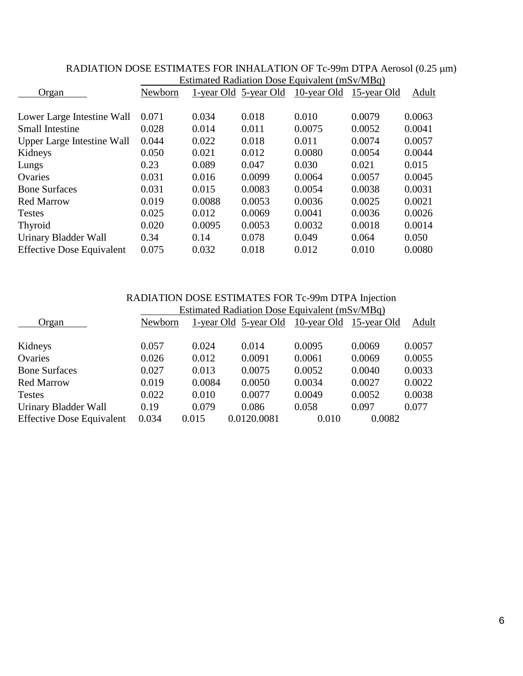|                                  | ESUINATED NACHALION DOSE EQUIVATENT (INSV/MIDG) |        |                       |             |             |        |  |
|----------------------------------|-------------------------------------------------|--------|-----------------------|-------------|-------------|--------|--|
| Organ                            | Newborn                                         |        | 1-year Old 5-year Old | 10-year Old | 15-year Old | Adult  |  |
|                                  |                                                 |        |                       |             |             |        |  |
| Lower Large Intestine Wall       | 0.071                                           | 0.034  | 0.018                 | 0.010       | 0.0079      | 0.0063 |  |
| <b>Small Intestine</b>           | 0.028                                           | 0.014  | 0.011                 | 0.0075      | 0.0052      | 0.0041 |  |
| Upper Large Intestine Wall       | 0.044                                           | 0.022  | 0.018                 | 0.011       | 0.0074      | 0.0057 |  |
| Kidneys                          | 0.050                                           | 0.021  | 0.012                 | 0.0080      | 0.0054      | 0.0044 |  |
| Lungs                            | 0.23                                            | 0.089  | 0.047                 | 0.030       | 0.021       | 0.015  |  |
| Ovaries                          | 0.031                                           | 0.016  | 0.0099                | 0.0064      | 0.0057      | 0.0045 |  |
| <b>Bone Surfaces</b>             | 0.031                                           | 0.015  | 0.0083                | 0.0054      | 0.0038      | 0.0031 |  |
| <b>Red Marrow</b>                | 0.019                                           | 0.0088 | 0.0053                | 0.0036      | 0.0025      | 0.0021 |  |
| <b>Testes</b>                    | 0.025                                           | 0.012  | 0.0069                | 0.0041      | 0.0036      | 0.0026 |  |
| <b>Thyroid</b>                   | 0.020                                           | 0.0095 | 0.0053                | 0.0032      | 0.0018      | 0.0014 |  |
| Urinary Bladder Wall             | 0.34                                            | 0.14   | 0.078                 | 0.049       | 0.064       | 0.050  |  |
| <b>Effective Dose Equivalent</b> | 0.075                                           | 0.032  | 0.018                 | 0.012       | 0.010       | 0.0080 |  |

### RADIATION DOSE ESTIMATES FOR INHALATION OF Tc-99m DTPA Aerosol (0.25 µm) **Estimated Radiation Dose Equivalent (mSv/MBq)**

|                                  | RADIATION DOSE ESTIMATES FOR Tc-99m DTPA Injection |        |                                               |                         |        |        |  |
|----------------------------------|----------------------------------------------------|--------|-----------------------------------------------|-------------------------|--------|--------|--|
|                                  |                                                    |        | Estimated Radiation Dose Equivalent (mSv/MBq) |                         |        |        |  |
| Organ                            | Newborn                                            |        | 1-year Old 5-year Old                         | 10-year Old 15-year Old |        | Adult  |  |
| Kidneys                          | 0.057                                              | 0.024  | 0.014                                         | 0.0095                  | 0.0069 | 0.0057 |  |
| Ovaries                          | 0.026                                              | 0.012  | 0.0091                                        | 0.0061                  | 0.0069 | 0.0055 |  |
| <b>Bone Surfaces</b>             | 0.027                                              | 0.013  | 0.0075                                        | 0.0052                  | 0.0040 | 0.0033 |  |
| <b>Red Marrow</b>                | 0.019                                              | 0.0084 | 0.0050                                        | 0.0034                  | 0.0027 | 0.0022 |  |
| <b>Testes</b>                    | 0.022                                              | 0.010  | 0.0077                                        | 0.0049                  | 0.0052 | 0.0038 |  |
| Urinary Bladder Wall             | 0.19                                               | 0.079  | 0.086                                         | 0.058                   | 0.097  | 0.077  |  |
| <b>Effective Dose Equivalent</b> | 0.034                                              | 0.015  | 0.0120.0081                                   | 0.010                   | 0.0082 |        |  |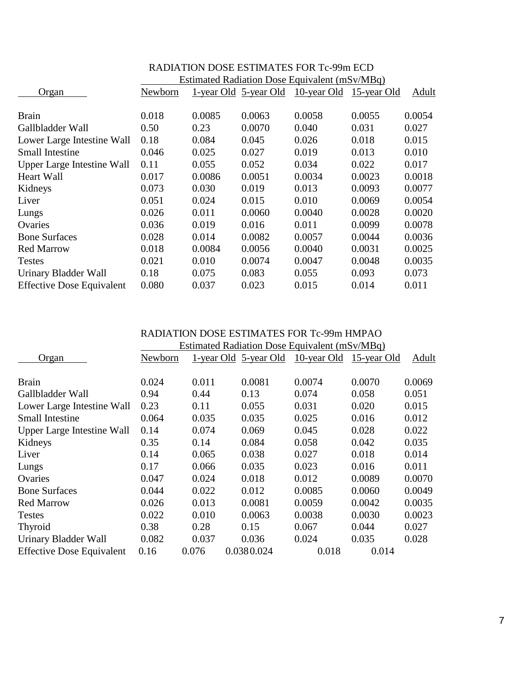|                                  | Estimated Radiation Dose Equivalent (mSv/MBq) |        |                       |             |             |              |
|----------------------------------|-----------------------------------------------|--------|-----------------------|-------------|-------------|--------------|
| Organ                            | Newborn                                       |        | 1-year Old 5-year Old | 10-year Old | 15-year Old | <b>Adult</b> |
|                                  |                                               |        |                       |             |             |              |
| <b>Brain</b>                     | 0.018                                         | 0.0085 | 0.0063                | 0.0058      | 0.0055      | 0.0054       |
| Gallbladder Wall                 | 0.50                                          | 0.23   | 0.0070                | 0.040       | 0.031       | 0.027        |
| Lower Large Intestine Wall       | 0.18                                          | 0.084  | 0.045                 | 0.026       | 0.018       | 0.015        |
| <b>Small Intestine</b>           | 0.046                                         | 0.025  | 0.027                 | 0.019       | 0.013       | 0.010        |
| Upper Large Intestine Wall       | 0.11                                          | 0.055  | 0.052                 | 0.034       | 0.022       | 0.017        |
| Heart Wall                       | 0.017                                         | 0.0086 | 0.0051                | 0.0034      | 0.0023      | 0.0018       |
| Kidneys                          | 0.073                                         | 0.030  | 0.019                 | 0.013       | 0.0093      | 0.0077       |
| Liver                            | 0.051                                         | 0.024  | 0.015                 | 0.010       | 0.0069      | 0.0054       |
| Lungs                            | 0.026                                         | 0.011  | 0.0060                | 0.0040      | 0.0028      | 0.0020       |
| Ovaries                          | 0.036                                         | 0.019  | 0.016                 | 0.011       | 0.0099      | 0.0078       |
| <b>Bone Surfaces</b>             | 0.028                                         | 0.014  | 0.0082                | 0.0057      | 0.0044      | 0.0036       |
| <b>Red Marrow</b>                | 0.018                                         | 0.0084 | 0.0056                | 0.0040      | 0.0031      | 0.0025       |
| <b>Testes</b>                    | 0.021                                         | 0.010  | 0.0074                | 0.0047      | 0.0048      | 0.0035       |
| Urinary Bladder Wall             | 0.18                                          | 0.075  | 0.083                 | 0.055       | 0.093       | 0.073        |
| <b>Effective Dose Equivalent</b> | 0.080                                         | 0.037  | 0.023                 | 0.015       | 0.014       | 0.011        |

# RADIATION DOSE ESTIMATES FOR Tc-99m ECD

RADIATION DOSE ESTIMATES FOR Tc-99m HMPAO Estimated Padiation Dose Equivalent  $(mS_v/MD_g)$ 

|                                   | Estimated Radiation Dose Equivalent (mSV/MBq) |       |                       |                         |        |        |  |  |
|-----------------------------------|-----------------------------------------------|-------|-----------------------|-------------------------|--------|--------|--|--|
| Organ                             | Newborn                                       |       | 1-year Old 5-year Old | 10-year Old 15-year Old |        | Adult  |  |  |
| <b>Brain</b>                      | 0.024                                         | 0.011 | 0.0081                | 0.0074                  | 0.0070 | 0.0069 |  |  |
| Gallbladder Wall                  | 0.94                                          | 0.44  | 0.13                  | 0.074                   | 0.058  | 0.051  |  |  |
| Lower Large Intestine Wall        | 0.23                                          | 0.11  | 0.055                 | 0.031                   | 0.020  | 0.015  |  |  |
| <b>Small Intestine</b>            | 0.064                                         | 0.035 | 0.035                 | 0.025                   | 0.016  | 0.012  |  |  |
| <b>Upper Large Intestine Wall</b> | 0.14                                          | 0.074 | 0.069                 | 0.045                   | 0.028  | 0.022  |  |  |
| Kidneys                           | 0.35                                          | 0.14  | 0.084                 | 0.058                   | 0.042  | 0.035  |  |  |
| Liver                             | 0.14                                          | 0.065 | 0.038                 | 0.027                   | 0.018  | 0.014  |  |  |
| Lungs                             | 0.17                                          | 0.066 | 0.035                 | 0.023                   | 0.016  | 0.011  |  |  |
| Ovaries                           | 0.047                                         | 0.024 | 0.018                 | 0.012                   | 0.0089 | 0.0070 |  |  |
| <b>Bone Surfaces</b>              | 0.044                                         | 0.022 | 0.012                 | 0.0085                  | 0.0060 | 0.0049 |  |  |
| <b>Red Marrow</b>                 | 0.026                                         | 0.013 | 0.0081                | 0.0059                  | 0.0042 | 0.0035 |  |  |
| <b>Testes</b>                     | 0.022                                         | 0.010 | 0.0063                | 0.0038                  | 0.0030 | 0.0023 |  |  |
| Thyroid                           | 0.38                                          | 0.28  | 0.15                  | 0.067                   | 0.044  | 0.027  |  |  |
| Urinary Bladder Wall              | 0.082                                         | 0.037 | 0.036                 | 0.024                   | 0.035  | 0.028  |  |  |
| <b>Effective Dose Equivalent</b>  | 0.16                                          | 0.076 | 0.0380.024            | 0.018                   | 0.014  |        |  |  |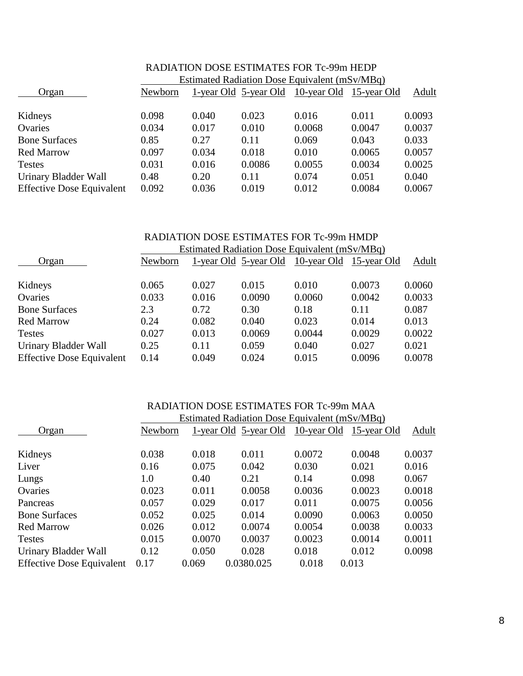|                                  | Estimated Radiation Dose Equivalent (mSv/MBq) |       |                       |                         |        |        |  |  |
|----------------------------------|-----------------------------------------------|-------|-----------------------|-------------------------|--------|--------|--|--|
| Organ                            | Newborn                                       |       | 1-year Old 5-year Old | 10-year Old 15-year Old |        | Adult  |  |  |
| Kidneys                          | 0.098                                         | 0.040 | 0.023                 | 0.016                   | 0.011  | 0.0093 |  |  |
| Ovaries                          | 0.034                                         | 0.017 | 0.010                 | 0.0068                  | 0.0047 | 0.0037 |  |  |
| <b>Bone Surfaces</b>             | 0.85                                          | 0.27  | 0.11                  | 0.069                   | 0.043  | 0.033  |  |  |
| <b>Red Marrow</b>                | 0.097                                         | 0.034 | 0.018                 | 0.010                   | 0.0065 | 0.0057 |  |  |
| <b>Testes</b>                    | 0.031                                         | 0.016 | 0.0086                | 0.0055                  | 0.0034 | 0.0025 |  |  |
| Urinary Bladder Wall             | 0.48                                          | 0.20  | 0.11                  | 0.074                   | 0.051  | 0.040  |  |  |
| <b>Effective Dose Equivalent</b> | 0.092                                         | 0.036 | 0.019                 | 0.012                   | 0.0084 | 0.0067 |  |  |

# RADIATION DOSE ESTIMATES FOR Tc-99m HEDP

#### RADIATION DOSE ESTIMATES FOR Tc-99m HMDP Estimated Radiation Dose Equivalent  $(mS_V/MBa)$

|                                                          | ESUMated Natitation Dose Equivalent (m. 877 Niby) |               |                       |                         |                 |                 |  |  |
|----------------------------------------------------------|---------------------------------------------------|---------------|-----------------------|-------------------------|-----------------|-----------------|--|--|
| Organ                                                    | Newborn                                           |               | 1-year Old 5-year Old | 10-year Old 15-year Old |                 | Adult           |  |  |
| Kidneys                                                  | 0.065                                             | 0.027         | 0.015                 | 0.010                   | 0.0073          | 0.0060          |  |  |
| Ovaries                                                  | 0.033                                             | 0.016         | 0.0090                | 0.0060                  | 0.0042          | 0.0033          |  |  |
| <b>Bone Surfaces</b>                                     | 2.3                                               | 0.72          | 0.30                  | 0.18                    | 0.11            | 0.087           |  |  |
| <b>Red Marrow</b>                                        | 0.24                                              | 0.082         | 0.040                 | 0.023                   | 0.014           | 0.013           |  |  |
| <b>Testes</b>                                            | 0.027                                             | 0.013         | 0.0069                | 0.0044                  | 0.0029          | 0.0022          |  |  |
| Urinary Bladder Wall<br><b>Effective Dose Equivalent</b> | 0.25<br>0.14                                      | 0.11<br>0.049 | 0.059<br>0.024        | 0.040<br>0.015          | 0.027<br>0.0096 | 0.021<br>0.0078 |  |  |
|                                                          |                                                   |               |                       |                         |                 |                 |  |  |

#### RADIATION DOSE ESTIMATES FOR Tc-99m MAA  $\epsilon$ d Dediction Dose Equivalent (mSv/MBq)

|                                  | <b>Estimated Radiation Dose Equivalent (mSv/MBq)</b> |        |                       |        |                         |        |  |  |
|----------------------------------|------------------------------------------------------|--------|-----------------------|--------|-------------------------|--------|--|--|
| Organ                            | Newborn                                              |        | 1-year Old 5-year Old |        | 10-year Old 15-year Old | Adult  |  |  |
| Kidneys                          | 0.038                                                | 0.018  | 0.011                 | 0.0072 | 0.0048                  | 0.0037 |  |  |
| Liver                            | 0.16                                                 | 0.075  | 0.042                 | 0.030  | 0.021                   | 0.016  |  |  |
| Lungs                            | 1.0                                                  | 0.40   | 0.21                  | 0.14   | 0.098                   | 0.067  |  |  |
| Ovaries                          | 0.023                                                | 0.011  | 0.0058                | 0.0036 | 0.0023                  | 0.0018 |  |  |
| Pancreas                         | 0.057                                                | 0.029  | 0.017                 | 0.011  | 0.0075                  | 0.0056 |  |  |
| <b>Bone Surfaces</b>             | 0.052                                                | 0.025  | 0.014                 | 0.0090 | 0.0063                  | 0.0050 |  |  |
| <b>Red Marrow</b>                | 0.026                                                | 0.012  | 0.0074                | 0.0054 | 0.0038                  | 0.0033 |  |  |
| <b>Testes</b>                    | 0.015                                                | 0.0070 | 0.0037                | 0.0023 | 0.0014                  | 0.0011 |  |  |
| Urinary Bladder Wall             | 0.12                                                 | 0.050  | 0.028                 | 0.018  | 0.012                   | 0.0098 |  |  |
| <b>Effective Dose Equivalent</b> | 0.17                                                 | 0.069  | 0.0380.025            | 0.018  | 0.013                   |        |  |  |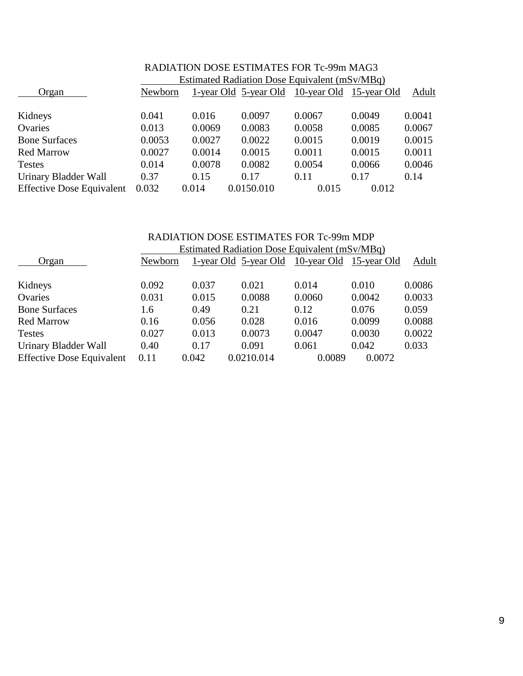|                                  |                                               | IMADIZI IMA DWALI LALI INIZI LALI MA TVO ZZIILINIZIMA |                                               |        |        |        |  |  |
|----------------------------------|-----------------------------------------------|-------------------------------------------------------|-----------------------------------------------|--------|--------|--------|--|--|
|                                  | Estimated Radiation Dose Equivalent (mSv/MBq) |                                                       |                                               |        |        |        |  |  |
| Organ                            | Newborn                                       |                                                       | 1-year Old 5-year Old 10-year Old 15-year Old |        |        | Adult  |  |  |
| Kidneys                          | 0.041                                         | 0.016                                                 | 0.0097                                        | 0.0067 | 0.0049 | 0.0041 |  |  |
| Ovaries                          | 0.013                                         | 0.0069                                                | 0.0083                                        | 0.0058 | 0.0085 | 0.0067 |  |  |
| <b>Bone Surfaces</b>             | 0.0053                                        | 0.0027                                                | 0.0022                                        | 0.0015 | 0.0019 | 0.0015 |  |  |
| <b>Red Marrow</b>                | 0.0027                                        | 0.0014                                                | 0.0015                                        | 0.0011 | 0.0015 | 0.0011 |  |  |
| <b>Testes</b>                    | 0.014                                         | 0.0078                                                | 0.0082                                        | 0.0054 | 0.0066 | 0.0046 |  |  |
| Urinary Bladder Wall             | 0.37                                          | 0.15                                                  | 0.17                                          | 0.11   | 0.17   | 0.14   |  |  |
| <b>Effective Dose Equivalent</b> | 0.032                                         | 0.014                                                 | 0.0150.010                                    | 0.015  | 0.012  |        |  |  |

# RADIATION DOSE ESTIMATES FOR Tc-99m MAG3

#### RADIATION DOSE ESTIMATES FOR Tc-99m MDP Estimated Radiation Dose Equivalent (mSv/MBq)

|                                  | ESUINACU NACHAUCH DOSC EQUIVAICHI (1115 V/MDG) |       |                       |                         |        |        |  |  |
|----------------------------------|------------------------------------------------|-------|-----------------------|-------------------------|--------|--------|--|--|
| Organ                            | Newborn                                        |       | 1-year Old 5-year Old | 10-year Old 15-year Old |        | Adult  |  |  |
| Kidneys                          | 0.092                                          | 0.037 | 0.021                 | 0.014                   | 0.010  | 0.0086 |  |  |
| Ovaries                          | 0.031                                          | 0.015 | 0.0088                | 0.0060                  | 0.0042 | 0.0033 |  |  |
| <b>Bone Surfaces</b>             | 1.6                                            | 0.49  | 0.21                  | 0.12                    | 0.076  | 0.059  |  |  |
| <b>Red Marrow</b>                | 0.16                                           | 0.056 | 0.028                 | 0.016                   | 0.0099 | 0.0088 |  |  |
| <b>Testes</b>                    | 0.027                                          | 0.013 | 0.0073                | 0.0047                  | 0.0030 | 0.0022 |  |  |
| Urinary Bladder Wall             | 0.40                                           | 0.17  | 0.091                 | 0.061                   | 0.042  | 0.033  |  |  |
| <b>Effective Dose Equivalent</b> | 0.11                                           | 0.042 | 0.0210.014            | 0.0089                  | 0.0072 |        |  |  |
|                                  |                                                |       |                       |                         |        |        |  |  |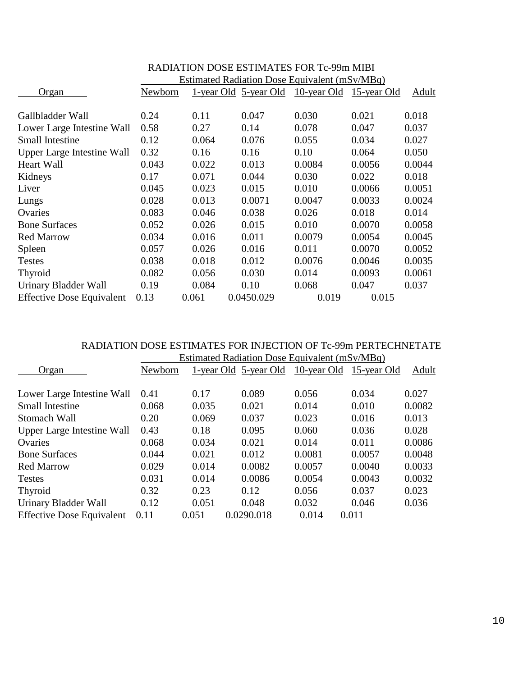|                                   | Estimated Radiation Dose Equivalent (mSv/MBq) |       |                       |             |             |        |  |  |
|-----------------------------------|-----------------------------------------------|-------|-----------------------|-------------|-------------|--------|--|--|
| Organ                             | Newborn                                       |       | 1-year Old 5-year Old | 10-year Old | 15-year Old | Adult  |  |  |
|                                   |                                               |       |                       |             |             |        |  |  |
| Gallbladder Wall                  | 0.24                                          | 0.11  | 0.047                 | 0.030       | 0.021       | 0.018  |  |  |
| Lower Large Intestine Wall        | 0.58                                          | 0.27  | 0.14                  | 0.078       | 0.047       | 0.037  |  |  |
| <b>Small Intestine</b>            | 0.12                                          | 0.064 | 0.076                 | 0.055       | 0.034       | 0.027  |  |  |
| <b>Upper Large Intestine Wall</b> | 0.32                                          | 0.16  | 0.16                  | 0.10        | 0.064       | 0.050  |  |  |
| <b>Heart Wall</b>                 | 0.043                                         | 0.022 | 0.013                 | 0.0084      | 0.0056      | 0.0044 |  |  |
| Kidneys                           | 0.17                                          | 0.071 | 0.044                 | 0.030       | 0.022       | 0.018  |  |  |
| Liver                             | 0.045                                         | 0.023 | 0.015                 | 0.010       | 0.0066      | 0.0051 |  |  |
| Lungs                             | 0.028                                         | 0.013 | 0.0071                | 0.0047      | 0.0033      | 0.0024 |  |  |
| Ovaries                           | 0.083                                         | 0.046 | 0.038                 | 0.026       | 0.018       | 0.014  |  |  |
| <b>Bone Surfaces</b>              | 0.052                                         | 0.026 | 0.015                 | 0.010       | 0.0070      | 0.0058 |  |  |
| <b>Red Marrow</b>                 | 0.034                                         | 0.016 | 0.011                 | 0.0079      | 0.0054      | 0.0045 |  |  |
| Spleen                            | 0.057                                         | 0.026 | 0.016                 | 0.011       | 0.0070      | 0.0052 |  |  |
| <b>Testes</b>                     | 0.038                                         | 0.018 | 0.012                 | 0.0076      | 0.0046      | 0.0035 |  |  |
| <b>Thyroid</b>                    | 0.082                                         | 0.056 | 0.030                 | 0.014       | 0.0093      | 0.0061 |  |  |
| Urinary Bladder Wall              | 0.19                                          | 0.084 | 0.10                  | 0.068       | 0.047       | 0.037  |  |  |
| <b>Effective Dose Equivalent</b>  | 0.13                                          | 0.061 | 0.0450.029            | 0.019       | 0.015       |        |  |  |

# RADIATION DOSE ESTIMATES FOR Tc-99m MIBI

### RADIATION DOSE ESTIMATES FOR INJECTION OF Tc-99m PERTECHNETATE Estimated Radiation Dose Equivalent (mSv/MBq)

| Organ                            | Newborn |       | 1-year Old 5-year Old | 10-year Old | 15-year Old | Adult  |  |  |
|----------------------------------|---------|-------|-----------------------|-------------|-------------|--------|--|--|
| Lower Large Intestine Wall       | 0.41    | 0.17  | 0.089                 | 0.056       | 0.034       | 0.027  |  |  |
| <b>Small Intestine</b>           | 0.068   | 0.035 | 0.021                 | 0.014       | 0.010       | 0.0082 |  |  |
| Stomach Wall                     | 0.20    | 0.069 | 0.037                 | 0.023       | 0.016       | 0.013  |  |  |
| Upper Large Intestine Wall       | 0.43    | 0.18  | 0.095                 | 0.060       | 0.036       | 0.028  |  |  |
| Ovaries                          | 0.068   | 0.034 | 0.021                 | 0.014       | 0.011       | 0.0086 |  |  |
| <b>Bone Surfaces</b>             | 0.044   | 0.021 | 0.012                 | 0.0081      | 0.0057      | 0.0048 |  |  |
| <b>Red Marrow</b>                | 0.029   | 0.014 | 0.0082                | 0.0057      | 0.0040      | 0.0033 |  |  |
| <b>Testes</b>                    | 0.031   | 0.014 | 0.0086                | 0.0054      | 0.0043      | 0.0032 |  |  |
| Thyroid                          | 0.32    | 0.23  | 0.12                  | 0.056       | 0.037       | 0.023  |  |  |
| Urinary Bladder Wall             | 0.12    | 0.051 | 0.048                 | 0.032       | 0.046       | 0.036  |  |  |
| <b>Effective Dose Equivalent</b> | 0.11    | 0.051 | 0.0290.018            | 0.014       | 0.011       |        |  |  |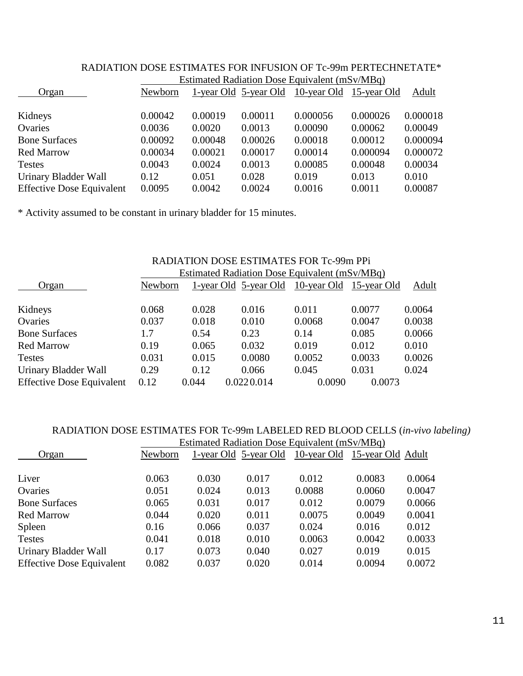|                                  | ESUINACU NACHALION DOSC EQUIVAICHI (1115 V/MDG) |         |                       |          |                         |          |  |  |
|----------------------------------|-------------------------------------------------|---------|-----------------------|----------|-------------------------|----------|--|--|
| Organ                            | Newborn                                         |         | 1-year Old 5-year Old |          | 10-year Old 15-year Old | Adult    |  |  |
| Kidneys                          | 0.00042                                         | 0.00019 | 0.00011               | 0.000056 | 0.000026                | 0.000018 |  |  |
| Ovaries                          | 0.0036                                          | 0.0020  | 0.0013                | 0.00090  | 0.00062                 | 0.00049  |  |  |
| <b>Bone Surfaces</b>             | 0.00092                                         | 0.00048 | 0.00026               | 0.00018  | 0.00012                 | 0.000094 |  |  |
| <b>Red Marrow</b>                | 0.00034                                         | 0.00021 | 0.00017               | 0.00014  | 0.000094                | 0.000072 |  |  |
| <b>Testes</b>                    | 0.0043                                          | 0.0024  | 0.0013                | 0.00085  | 0.00048                 | 0.00034  |  |  |
| Urinary Bladder Wall             | 0.12                                            | 0.051   | 0.028                 | 0.019    | 0.013                   | 0.010    |  |  |
| <b>Effective Dose Equivalent</b> | 0.0095                                          | 0.0042  | 0.0024                | 0.0016   | 0.0011                  | 0.00087  |  |  |

## RADIATION DOSE ESTIMATES FOR INFUSION OF Tc-99m PERTECHNETATE\* Estimated Radiation Dose Equivalent  $(mS_V/MBa)$

\* Activity assumed to be constant in urinary bladder for 15 minutes.

|                                  | RADIATION DOSE ESTIMATES FOR Tc-99m PPi |       |                                               |        |        |        |  |
|----------------------------------|-----------------------------------------|-------|-----------------------------------------------|--------|--------|--------|--|
|                                  |                                         |       | Estimated Radiation Dose Equivalent (mSv/MBq) |        |        |        |  |
| Organ                            | Newborn                                 |       | 1-year Old 5-year Old 10-year Old 15-year Old |        |        | Adult  |  |
| Kidneys                          | 0.068                                   | 0.028 | 0.016                                         | 0.011  | 0.0077 | 0.0064 |  |
| Ovaries                          | 0.037                                   | 0.018 | 0.010                                         | 0.0068 | 0.0047 | 0.0038 |  |
| <b>Bone Surfaces</b>             | 1.7                                     | 0.54  | 0.23                                          | 0.14   | 0.085  | 0.0066 |  |
| <b>Red Marrow</b>                | 0.19                                    | 0.065 | 0.032                                         | 0.019  | 0.012  | 0.010  |  |
| <b>Testes</b>                    | 0.031                                   | 0.015 | 0.0080                                        | 0.0052 | 0.0033 | 0.0026 |  |
| Urinary Bladder Wall             | 0.29                                    | 0.12  | 0.066                                         | 0.045  | 0.031  | 0.024  |  |
| <b>Effective Dose Equivalent</b> | 0.12                                    | 0.044 | 0.0220.014                                    | 0.0090 | 0.0073 |        |  |

## RADIATION DOSE ESTIMATES FOR Tc-99m LABELED RED BLOOD CELLS (*in-vivo labeling)* **Estimated Radiation Dose Equivalent (mSv/MBq)**

|                                  | ESUIDATED KAULUM DOSE EQUIVATEM (INSV/MDU) |       |                       |             |                   |        |  |  |  |
|----------------------------------|--------------------------------------------|-------|-----------------------|-------------|-------------------|--------|--|--|--|
| Organ                            | Newborn                                    |       | 1-year Old 5-year Old | 10-year Old | 15-year Old Adult |        |  |  |  |
| Liver                            | 0.063                                      | 0.030 | 0.017                 | 0.012       | 0.0083            | 0.0064 |  |  |  |
|                                  |                                            |       |                       |             |                   |        |  |  |  |
| Ovaries                          | 0.051                                      | 0.024 | 0.013                 | 0.0088      | 0.0060            | 0.0047 |  |  |  |
| <b>Bone Surfaces</b>             | 0.065                                      | 0.031 | 0.017                 | 0.012       | 0.0079            | 0.0066 |  |  |  |
| <b>Red Marrow</b>                | 0.044                                      | 0.020 | 0.011                 | 0.0075      | 0.0049            | 0.0041 |  |  |  |
| Spleen                           | 0.16                                       | 0.066 | 0.037                 | 0.024       | 0.016             | 0.012  |  |  |  |
| <b>Testes</b>                    | 0.041                                      | 0.018 | 0.010                 | 0.0063      | 0.0042            | 0.0033 |  |  |  |
| Urinary Bladder Wall             | 0.17                                       | 0.073 | 0.040                 | 0.027       | 0.019             | 0.015  |  |  |  |
| <b>Effective Dose Equivalent</b> | 0.082                                      | 0.037 | 0.020                 | 0.014       | 0.0094            | 0.0072 |  |  |  |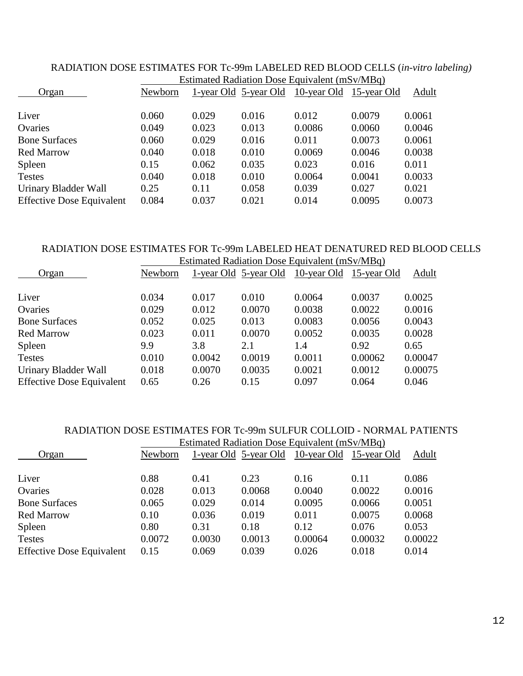| ESUIHALEU NAUTATION DOSE EQUIVAIENT (III.SV/MDY) |       |       |                                |        |                                   |  |  |  |
|--------------------------------------------------|-------|-------|--------------------------------|--------|-----------------------------------|--|--|--|
| Newborn                                          |       |       |                                |        | Adult                             |  |  |  |
|                                                  |       |       |                                |        | 0.0061                            |  |  |  |
| 0.049                                            | 0.023 | 0.013 | 0.0086                         | 0.0060 | 0.0046                            |  |  |  |
| 0.060                                            | 0.029 | 0.016 | 0.011                          | 0.0073 | 0.0061                            |  |  |  |
| 0.040                                            | 0.018 | 0.010 | 0.0069                         | 0.0046 | 0.0038                            |  |  |  |
| 0.15                                             | 0.062 | 0.035 | 0.023                          | 0.016  | 0.011                             |  |  |  |
| 0.040                                            | 0.018 | 0.010 | 0.0064                         | 0.0041 | 0.0033                            |  |  |  |
| 0.25                                             | 0.11  | 0.058 | 0.039                          | 0.027  | 0.021                             |  |  |  |
| 0.084                                            | 0.037 | 0.021 | 0.014                          | 0.0095 | 0.0073                            |  |  |  |
|                                                  | 0.060 | 0.029 | 1-year Old 5-year Old<br>0.016 | 0.012  | 10-year Old 15-year Old<br>0.0079 |  |  |  |

## RADIATION DOSE ESTIMATES FOR Tc-99m LABELED RED BLOOD CELLS (*in-vitro labeling)* Estimated Radiation Dose Equivalent  $(mS_V/MR_Q)$

#### RADIATION DOSE ESTIMATES FOR Tc-99m LABELED HEAT DENATURED RED BLOOD CELLS Estimated Radiation Dose Equivalent  $(mS_V/MBa)$

|                                  | ESUMateu Naulation Dose Equivalent (m. 977) Nidy / |        |                       |                         |         |         |  |
|----------------------------------|----------------------------------------------------|--------|-----------------------|-------------------------|---------|---------|--|
| Organ                            | Newborn                                            |        | 1-year Old 5-year Old | 10-year Old 15-year Old |         | Adult   |  |
|                                  |                                                    |        |                       |                         |         |         |  |
| Liver                            | 0.034                                              | 0.017  | 0.010                 | 0.0064                  | 0.0037  | 0.0025  |  |
| Ovaries                          | 0.029                                              | 0.012  | 0.0070                | 0.0038                  | 0.0022  | 0.0016  |  |
| <b>Bone Surfaces</b>             | 0.052                                              | 0.025  | 0.013                 | 0.0083                  | 0.0056  | 0.0043  |  |
| <b>Red Marrow</b>                | 0.023                                              | 0.011  | 0.0070                | 0.0052                  | 0.0035  | 0.0028  |  |
| Spleen                           | 9.9                                                | 3.8    | 2.1                   | 1.4                     | 0.92    | 0.65    |  |
| <b>Testes</b>                    | 0.010                                              | 0.0042 | 0.0019                | 0.0011                  | 0.00062 | 0.00047 |  |
| Urinary Bladder Wall             | 0.018                                              | 0.0070 | 0.0035                | 0.0021                  | 0.0012  | 0.00075 |  |
| <b>Effective Dose Equivalent</b> | 0.65                                               | 0.26   | 0.15                  | 0.097                   | 0.064   | 0.046   |  |

### RADIATION DOSE ESTIMATES FOR Tc-99m SULFUR COLLOID - NORMAL PATIENTS Estimated Radiation Dose Equivalent  $(mS_V/MR_Q)$

|                                  | ESUMateu Naulation Dose Equivalent (m. 977 Widy) |        |                       |             |             |         |  |
|----------------------------------|--------------------------------------------------|--------|-----------------------|-------------|-------------|---------|--|
| Organ                            | Newborn                                          |        | 1-year Old 5-year Old | 10-year Old | 15-year Old | Adult   |  |
|                                  |                                                  |        |                       |             |             |         |  |
| Liver                            | 0.88                                             | 0.41   | 0.23                  | 0.16        | 0.11        | 0.086   |  |
| Ovaries                          | 0.028                                            | 0.013  | 0.0068                | 0.0040      | 0.0022      | 0.0016  |  |
| <b>Bone Surfaces</b>             | 0.065                                            | 0.029  | 0.014                 | 0.0095      | 0.0066      | 0.0051  |  |
| <b>Red Marrow</b>                | 0.10                                             | 0.036  | 0.019                 | 0.011       | 0.0075      | 0.0068  |  |
| Spleen                           | 0.80                                             | 0.31   | 0.18                  | 0.12        | 0.076       | 0.053   |  |
| <b>Testes</b>                    | 0.0072                                           | 0.0030 | 0.0013                | 0.00064     | 0.00032     | 0.00022 |  |
| <b>Effective Dose Equivalent</b> | 0.15                                             | 0.069  | 0.039                 | 0.026       | 0.018       | 0.014   |  |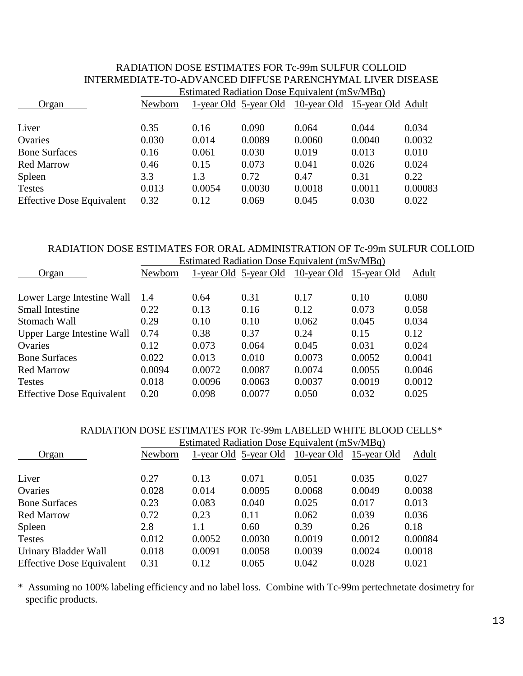| INTERMEDIATE-TO-ADVANCED DIFFUSE PARENCHYMAL LIVER DISEASE |                                               |        |        |                                                     |        |         |  |  |
|------------------------------------------------------------|-----------------------------------------------|--------|--------|-----------------------------------------------------|--------|---------|--|--|
|                                                            | Estimated Radiation Dose Equivalent (mSv/MBq) |        |        |                                                     |        |         |  |  |
| Organ                                                      | Newborn                                       |        |        | 1-year Old 5-year Old 10-year Old 15-year Old Adult |        |         |  |  |
|                                                            |                                               |        |        |                                                     |        |         |  |  |
| Liver                                                      | 0.35                                          | 0.16   | 0.090  | 0.064                                               | 0.044  | 0.034   |  |  |
| Ovaries                                                    | 0.030                                         | 0.014  | 0.0089 | 0.0060                                              | 0.0040 | 0.0032  |  |  |
| <b>Bone Surfaces</b>                                       | 0.16                                          | 0.061  | 0.030  | 0.019                                               | 0.013  | 0.010   |  |  |
| <b>Red Marrow</b>                                          | 0.46                                          | 0.15   | 0.073  | 0.041                                               | 0.026  | 0.024   |  |  |
| Spleen                                                     | 3.3                                           | 1.3    | 0.72   | 0.47                                                | 0.31   | 0.22    |  |  |
| <b>Testes</b>                                              | 0.013                                         | 0.0054 | 0.0030 | 0.0018                                              | 0.0011 | 0.00083 |  |  |
| <b>Effective Dose Equivalent</b>                           | 0.32                                          | 0.12   | 0.069  | 0.045                                               | 0.030  | 0.022   |  |  |

# RADIATION DOSE ESTIMATES FOR Tc-99m SULFUR COLLOID INTERMEDIATE-TO-ADVANCED DIFFUSE PARENCHYMAL LIVER DISEASE

#### RADIATION DOSE ESTIMATES FOR ORAL ADMINISTRATION OF Tc-99m SULFUR COLLOID Estimated Radiation Dose Equivalent (mSv/MBq)

| Esumated Radiation Dose Equivalent (mSV/MBG) |        |        |                       |        |                         |
|----------------------------------------------|--------|--------|-----------------------|--------|-------------------------|
| Newborn                                      |        |        |                       |        | Adult                   |
|                                              |        |        |                       |        |                         |
| 1.4                                          | 0.64   | 0.31   | 0.17                  | 0.10   | 0.080                   |
| 0.22                                         | 0.13   | 0.16   | 0.12                  | 0.073  | 0.058                   |
| 0.29                                         | 0.10   | 0.10   | 0.062                 | 0.045  | 0.034                   |
| 0.74                                         | 0.38   | 0.37   | 0.24                  | 0.15   | 0.12                    |
| 0.12                                         | 0.073  | 0.064  | 0.045                 | 0.031  | 0.024                   |
| 0.022                                        | 0.013  | 0.010  | 0.0073                | 0.0052 | 0.0041                  |
| 0.0094                                       | 0.0072 | 0.0087 | 0.0074                | 0.0055 | 0.0046                  |
| 0.018                                        | 0.0096 | 0.0063 | 0.0037                | 0.0019 | 0.0012                  |
| 0.20                                         | 0.098  | 0.0077 | 0.050                 | 0.032  | 0.025                   |
|                                              |        |        | 1-year Old 5-year Old |        | 10-year Old 15-year Old |

#### RADIATION DOSE ESTIMATES FOR Tc-99m LABELED WHITE BLOOD CELLS\*  $E$ Estimated Radiation Dose  $R$

|                                  | <b>Estimated Radiation Dose Equivalent (mSv/MBq)</b> |        |                       |                         |        |         |  |
|----------------------------------|------------------------------------------------------|--------|-----------------------|-------------------------|--------|---------|--|
| Organ                            | Newborn                                              |        | 1-year Old 5-year Old | 10-year Old 15-year Old |        | Adult   |  |
| Liver                            | 0.27                                                 | 0.13   | 0.071                 | 0.051                   | 0.035  | 0.027   |  |
| Ovaries                          | 0.028                                                | 0.014  | 0.0095                | 0.0068                  | 0.0049 | 0.0038  |  |
| <b>Bone Surfaces</b>             | 0.23                                                 | 0.083  | 0.040                 | 0.025                   | 0.017  | 0.013   |  |
| <b>Red Marrow</b>                | 0.72                                                 | 0.23   | 0.11                  | 0.062                   | 0.039  | 0.036   |  |
| Spleen                           | 2.8                                                  | 1.1    | 0.60                  | 0.39                    | 0.26   | 0.18    |  |
| <b>Testes</b>                    | 0.012                                                | 0.0052 | 0.0030                | 0.0019                  | 0.0012 | 0.00084 |  |
| Urinary Bladder Wall             | 0.018                                                | 0.0091 | 0.0058                | 0.0039                  | 0.0024 | 0.0018  |  |
| <b>Effective Dose Equivalent</b> | 0.31                                                 | 0.12   | 0.065                 | 0.042                   | 0.028  | 0.021   |  |

\* Assuming no 100% labeling efficiency and no label loss. Combine with Tc-99m pertechnetate dosimetry for specific products.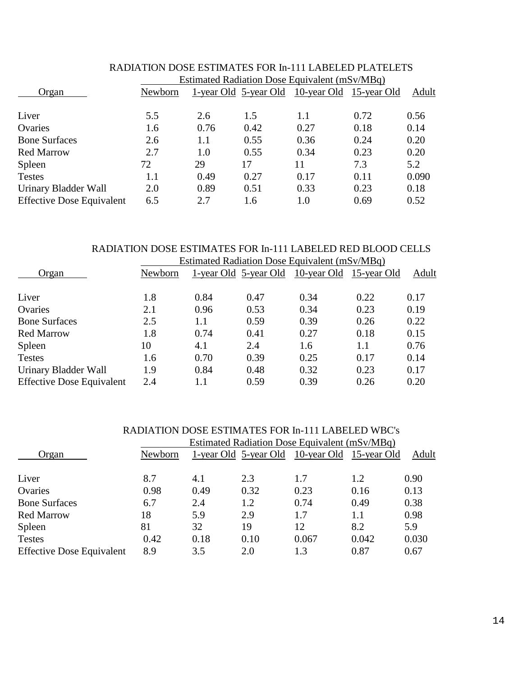| Newborn |      |      |      |      | Adult                                                                                                  |
|---------|------|------|------|------|--------------------------------------------------------------------------------------------------------|
|         |      |      |      |      |                                                                                                        |
| 5.5     | 2.6  | 1.5  | 1.1  |      | 0.56                                                                                                   |
| 1.6     | 0.76 | 0.42 | 0.27 | 0.18 | 0.14                                                                                                   |
| 2.6     | 1.1  | 0.55 | 0.36 | 0.24 | 0.20                                                                                                   |
| 2.7     | 1.0  | 0.55 | 0.34 | 0.23 | 0.20                                                                                                   |
| 72      | 29   | 17   | 11   | 7.3  | 5.2                                                                                                    |
| 1.1     | 0.49 | 0.27 | 0.17 | 0.11 | 0.090                                                                                                  |
| 2.0     | 0.89 | 0.51 | 0.33 | 0.23 | 0.18                                                                                                   |
| 6.5     | 2.7  | 1.6  | 1.0  | 0.69 | 0.52                                                                                                   |
|         |      |      |      |      | Estimated Radiation Dose Equivalent (mSv/MBq)<br>1-year Old 5-year Old 10-year Old 15-year Old<br>0.72 |

# RADIATION DOSE ESTIMATES FOR In-111 LABELED PLATELETS

#### RADIATION DOSE ESTIMATES FOR In-111 LABELED RED BLOOD CELLS Estimated Radiation Dose Equivalent  $(mS_V/MBa)$

|                                  | ESUINATED NACHALION DOSE EQUIVATENT (INSV/MIDG) |      |                       |                         |      |       |  |  |
|----------------------------------|-------------------------------------------------|------|-----------------------|-------------------------|------|-------|--|--|
| Organ                            | Newborn                                         |      | 1-year Old 5-year Old | 10-year Old 15-year Old |      | Adult |  |  |
| Liver                            | 1.8                                             | 0.84 | 0.47                  | 0.34                    | 0.22 | 0.17  |  |  |
| Ovaries                          | 2.1                                             | 0.96 | 0.53                  | 0.34                    | 0.23 | 0.19  |  |  |
| <b>Bone Surfaces</b>             | 2.5                                             | 1.1  | 0.59                  | 0.39                    | 0.26 | 0.22  |  |  |
| <b>Red Marrow</b>                | 1.8                                             | 0.74 | 0.41                  | 0.27                    | 0.18 | 0.15  |  |  |
| Spleen                           | 10                                              | 4.1  | 2.4                   | 1.6                     | 1.1  | 0.76  |  |  |
| <b>Testes</b>                    | 1.6                                             | 0.70 | 0.39                  | 0.25                    | 0.17 | 0.14  |  |  |
| Urinary Bladder Wall             | 1.9                                             | 0.84 | 0.48                  | 0.32                    | 0.23 | 0.17  |  |  |
| <b>Effective Dose Equivalent</b> | 2.4                                             | 1.1  | 0.59                  | 0.39                    | 0.26 | 0.20  |  |  |
|                                  |                                                 |      |                       |                         |      |       |  |  |

| RADIATION DOSE ESTIMATES FOR In-111 LABELED WBC's |  |  |  |  |  |
|---------------------------------------------------|--|--|--|--|--|
|                                                   |  |  |  |  |  |

|                                  | <b>Estimated Radiation Dose Equivalent (mSv/MBq)</b> |      |                       |                         |       |       |  |  |
|----------------------------------|------------------------------------------------------|------|-----------------------|-------------------------|-------|-------|--|--|
| Organ                            | Newborn                                              |      | 1-year Old 5-year Old | 10-year Old 15-year Old |       | Adult |  |  |
| Liver                            | 8.7                                                  | 4.1  | 2.3                   | 1.7                     | 1.2   | 0.90  |  |  |
| Ovaries                          | 0.98                                                 | 0.49 | 0.32                  | 0.23                    | 0.16  | 0.13  |  |  |
| <b>Bone Surfaces</b>             | 6.7                                                  | 2.4  | 1.2                   | 0.74                    | 0.49  | 0.38  |  |  |
| <b>Red Marrow</b>                | 18                                                   | 5.9  | 2.9                   | 1.7                     | 1.1   | 0.98  |  |  |
| Spleen                           | 81                                                   | 32   | 19                    | 12                      | 8.2   | 5.9   |  |  |
| <b>Testes</b>                    | 0.42                                                 | 0.18 | 0.10                  | 0.067                   | 0.042 | 0.030 |  |  |
| <b>Effective Dose Equivalent</b> | 8.9                                                  | 3.5  | 2.0                   | 1.3                     | 0.87  | 0.67  |  |  |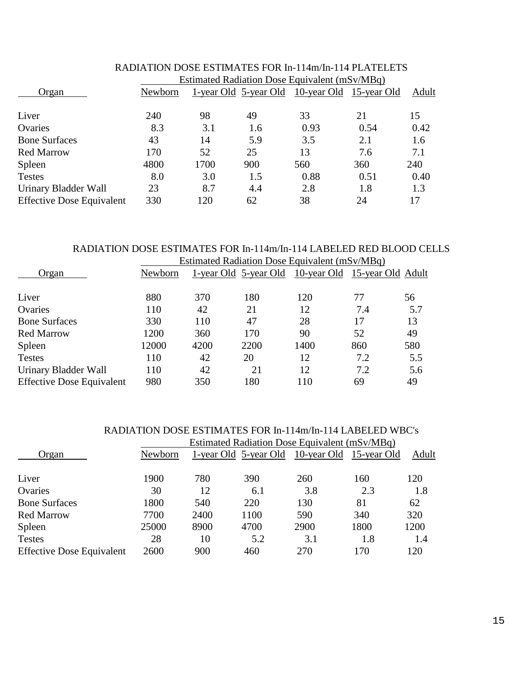|                                  | Estimated Radiation Dose Equivalent (mSv/MBq) |      |                       |                         |      |       |  |  |
|----------------------------------|-----------------------------------------------|------|-----------------------|-------------------------|------|-------|--|--|
| Organ                            | Newborn                                       |      | 1-year Old 5-year Old | 10-year Old 15-year Old |      | Adult |  |  |
| Liver                            | 240                                           | 98   | 49                    | 33                      | 21   | 15    |  |  |
| Ovaries                          | 8.3                                           | 3.1  | 1.6                   | 0.93                    | 0.54 | 0.42  |  |  |
| <b>Bone Surfaces</b>             | 43                                            | 14   | 5.9                   | 3.5                     | 2.1  | 1.6   |  |  |
| <b>Red Marrow</b>                | 170                                           | 52   | 25                    | 13                      | 7.6  | 7.1   |  |  |
| Spleen                           | 4800                                          | 1700 | 900                   | 560                     | 360  | 240   |  |  |
| <b>Testes</b>                    | 8.0                                           | 3.0  | 1.5                   | 0.88                    | 0.51 | 0.40  |  |  |
| Urinary Bladder Wall             | 23                                            | 8.7  | 4.4                   | 2.8                     | 1.8  | 1.3   |  |  |
| <b>Effective Dose Equivalent</b> | 330                                           | 120  | 62                    | 38                      | 24   | 17    |  |  |

# RADIATION DOSE ESTIMATES FOR In-114m/In-114 PLATELETS

#### RADIATION DOSE ESTIMATES FOR In-114m/In-114 LABELED RED BLOOD CELLS Estimated Radiation Dose Equivalent (mSv/MBq)

| Newborn |      |      |      |                              |                                                                                         |  |  |
|---------|------|------|------|------------------------------|-----------------------------------------------------------------------------------------|--|--|
|         |      |      |      |                              | 56                                                                                      |  |  |
| 110     | 42   | 21   | 12   | 7.4                          | 5.7                                                                                     |  |  |
| 330     | 110  | 47   | 28   | 17                           | 13                                                                                      |  |  |
| 1200    | 360  | 170  | 90   | 52                           | 49                                                                                      |  |  |
| 12000   | 4200 | 2200 | 1400 | 860                          | 580                                                                                     |  |  |
| 110     | 42   | 20   | 12   | 7.2                          | 5.5                                                                                     |  |  |
| 110     | 42   | 21   | 12   | 7.2                          | 5.6                                                                                     |  |  |
| 980     | 350  | 180  | 110  | 69                           | 49                                                                                      |  |  |
|         | 880  | 370  | 180  | 1-year Old 5-year Old<br>120 | Estimated Natitation Dose Equivalent (mp v/widy)<br>10-year Old 15-year Old Adult<br>77 |  |  |

# RADIATION DOSE ESTIMATES FOR In-114m/In-114 LABELED WBC's

|                                  | <b>Estimated Radiation Dose Equivalent (mSv/MBq)</b> |      |                       |                         |      |       |  |  |
|----------------------------------|------------------------------------------------------|------|-----------------------|-------------------------|------|-------|--|--|
| Organ                            | Newborn                                              |      | 1-year Old 5-year Old | 10-year Old 15-year Old |      | Adult |  |  |
| Liver                            | 1900                                                 | 780  | 390                   | 260                     | 160  | 120   |  |  |
| Ovaries                          | 30                                                   | 12   | 6.1                   | 3.8                     | 2.3  | 1.8   |  |  |
| <b>Bone Surfaces</b>             | 1800                                                 | 540  | 220                   | 130                     | 81   | 62    |  |  |
| <b>Red Marrow</b>                | 7700                                                 | 2400 | 1100                  | 590                     | 340  | 320   |  |  |
| Spleen                           | 25000                                                | 8900 | 4700                  | 2900                    | 1800 | 1200  |  |  |
| <b>Testes</b>                    | 28                                                   | 10   | 5.2                   | 3.1                     | 1.8  | 1.4   |  |  |
| <b>Effective Dose Equivalent</b> | 2600                                                 | 900  | 460                   | 270                     | 170  | 120   |  |  |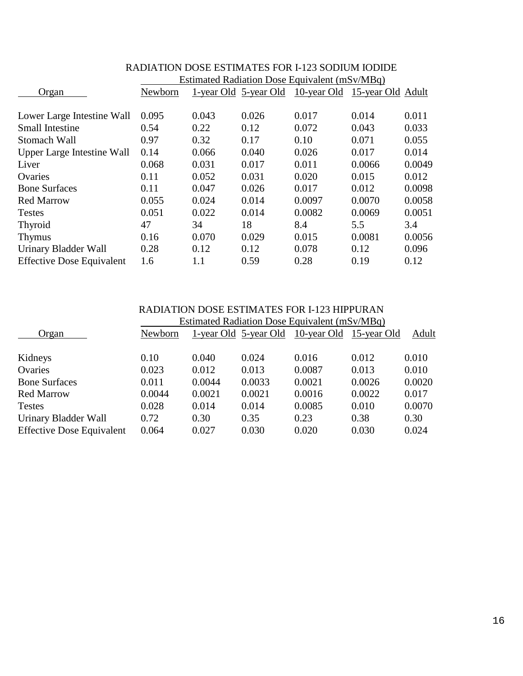|                                   | Estimated Radiation Dose Equivalent (mSV/MBq) |       |                              |                               |        |        |  |  |
|-----------------------------------|-----------------------------------------------|-------|------------------------------|-------------------------------|--------|--------|--|--|
| Organ                             | Newborn                                       |       | <u>1-year Old 5-year Old</u> | 10-year Old 15-year Old Adult |        |        |  |  |
|                                   |                                               |       |                              |                               |        |        |  |  |
| Lower Large Intestine Wall        | 0.095                                         | 0.043 | 0.026                        | 0.017                         | 0.014  | 0.011  |  |  |
| <b>Small Intestine</b>            | 0.54                                          | 0.22  | 0.12                         | 0.072                         | 0.043  | 0.033  |  |  |
| Stomach Wall                      | 0.97                                          | 0.32  | 0.17                         | 0.10                          | 0.071  | 0.055  |  |  |
| <b>Upper Large Intestine Wall</b> | 0.14                                          | 0.066 | 0.040                        | 0.026                         | 0.017  | 0.014  |  |  |
| Liver                             | 0.068                                         | 0.031 | 0.017                        | 0.011                         | 0.0066 | 0.0049 |  |  |
| Ovaries                           | 0.11                                          | 0.052 | 0.031                        | 0.020                         | 0.015  | 0.012  |  |  |
| <b>Bone Surfaces</b>              | 0.11                                          | 0.047 | 0.026                        | 0.017                         | 0.012  | 0.0098 |  |  |
| <b>Red Marrow</b>                 | 0.055                                         | 0.024 | 0.014                        | 0.0097                        | 0.0070 | 0.0058 |  |  |
| <b>Testes</b>                     | 0.051                                         | 0.022 | 0.014                        | 0.0082                        | 0.0069 | 0.0051 |  |  |
| <b>Thyroid</b>                    | 47                                            | 34    | 18                           | 8.4                           | 5.5    | 3.4    |  |  |
| <b>Thymus</b>                     | 0.16                                          | 0.070 | 0.029                        | 0.015                         | 0.0081 | 0.0056 |  |  |
| Urinary Bladder Wall              | 0.28                                          | 0.12  | 0.12                         | 0.078                         | 0.12   | 0.096  |  |  |
| <b>Effective Dose Equivalent</b>  | 1.6                                           | 1.1   | 0.59                         | 0.28                          | 0.19   | 0.12   |  |  |

#### RADIATION DOSE ESTIMATES FOR I-123 SODIUM IODIDE Estimated Radiation Dose Equivalent (mSv/MBq)

|                                  | <b>RADIATION DOSE ESTIMATES FOR I-123 HIPPURAN</b> |                                                      |        |                                               |        |        |  |  |  |
|----------------------------------|----------------------------------------------------|------------------------------------------------------|--------|-----------------------------------------------|--------|--------|--|--|--|
| Organ                            |                                                    | <b>Estimated Radiation Dose Equivalent (mSv/MBq)</b> |        |                                               |        |        |  |  |  |
|                                  | Newborn                                            |                                                      |        | 1-year Old 5-year Old 10-year Old 15-year Old |        | Adult  |  |  |  |
| Kidneys                          | 0.10                                               | 0.040                                                | 0.024  | 0.016                                         | 0.012  | 0.010  |  |  |  |
| Ovaries                          | 0.023                                              | 0.012                                                | 0.013  | 0.0087                                        | 0.013  | 0.010  |  |  |  |
| <b>Bone Surfaces</b>             | 0.011                                              | 0.0044                                               | 0.0033 | 0.0021                                        | 0.0026 | 0.0020 |  |  |  |
| <b>Red Marrow</b>                | 0.0044                                             | 0.0021                                               | 0.0021 | 0.0016                                        | 0.0022 | 0.017  |  |  |  |
| <b>Testes</b>                    | 0.028                                              | 0.014                                                | 0.014  | 0.0085                                        | 0.010  | 0.0070 |  |  |  |
| Urinary Bladder Wall             | 0.72                                               | 0.30                                                 | 0.35   | 0.23                                          | 0.38   | 0.30   |  |  |  |
| <b>Effective Dose Equivalent</b> | 0.064                                              | 0.027                                                | 0.030  | 0.020                                         | 0.030  | 0.024  |  |  |  |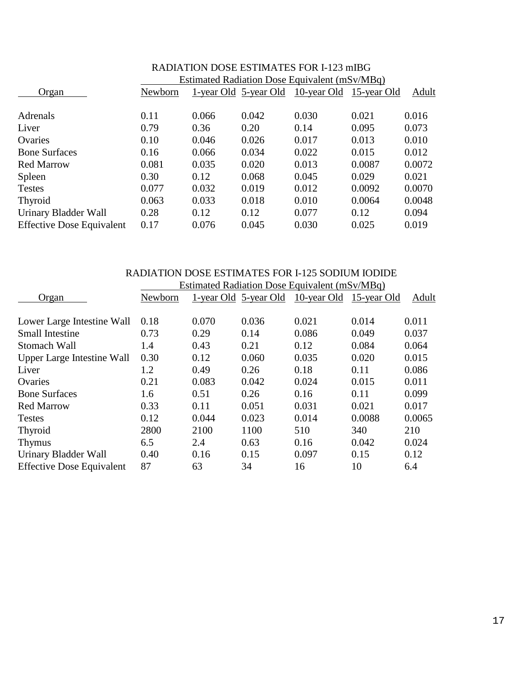| 1879 BIZITA DOME BOTHYIA I BOTANI ETZ.) IIIIDO |                                               |       |                       |       |                         |        |  |
|------------------------------------------------|-----------------------------------------------|-------|-----------------------|-------|-------------------------|--------|--|
|                                                | Estimated Radiation Dose Equivalent (mSv/MBq) |       |                       |       |                         |        |  |
| Organ                                          | Newborn                                       |       | 1-year Old 5-year Old |       | 10-year Old 15-year Old | Adult  |  |
| Adrenals                                       | 0.11                                          | 0.066 | 0.042                 | 0.030 | 0.021                   | 0.016  |  |
|                                                |                                               |       |                       |       |                         |        |  |
| Liver                                          | 0.79                                          | 0.36  | 0.20                  | 0.14  | 0.095                   | 0.073  |  |
| Ovaries                                        | 0.10                                          | 0.046 | 0.026                 | 0.017 | 0.013                   | 0.010  |  |
| <b>Bone Surfaces</b>                           | 0.16                                          | 0.066 | 0.034                 | 0.022 | 0.015                   | 0.012  |  |
| <b>Red Marrow</b>                              | 0.081                                         | 0.035 | 0.020                 | 0.013 | 0.0087                  | 0.0072 |  |
| Spleen                                         | 0.30                                          | 0.12  | 0.068                 | 0.045 | 0.029                   | 0.021  |  |
| <b>Testes</b>                                  | 0.077                                         | 0.032 | 0.019                 | 0.012 | 0.0092                  | 0.0070 |  |
| Thyroid                                        | 0.063                                         | 0.033 | 0.018                 | 0.010 | 0.0064                  | 0.0048 |  |
| Urinary Bladder Wall                           | 0.28                                          | 0.12  | 0.12                  | 0.077 | 0.12                    | 0.094  |  |
| <b>Effective Dose Equivalent</b>               | 0.17                                          | 0.076 | 0.045                 | 0.030 | 0.025                   | 0.019  |  |
|                                                |                                               |       |                       |       |                         |        |  |

# RADIATION DOSE ESTIMATES FOR I-123 mIBG

### RADIATION DOSE ESTIMATES FOR I-125 SODIUM IODIDE Estimated Radiation Dose Equivalent (mSv/MBq)

|                                  | $E_{\text{out}}$ required $E_{\text{out}}$ requirement (movimply) |       |                       |             |             |        |  |
|----------------------------------|-------------------------------------------------------------------|-------|-----------------------|-------------|-------------|--------|--|
| Organ                            | Newborn                                                           |       | 1-year Old 5-year Old | 10-year Old | 15-year Old | Adult  |  |
| Lower Large Intestine Wall       | 0.18                                                              | 0.070 | 0.036                 | 0.021       | 0.014       | 0.011  |  |
|                                  |                                                                   |       |                       |             |             |        |  |
| <b>Small Intestine</b>           | 0.73                                                              | 0.29  | 0.14                  | 0.086       | 0.049       | 0.037  |  |
| Stomach Wall                     | 1.4                                                               | 0.43  | 0.21                  | 0.12        | 0.084       | 0.064  |  |
| Upper Large Intestine Wall       | 0.30                                                              | 0.12  | 0.060                 | 0.035       | 0.020       | 0.015  |  |
| Liver                            | 1.2                                                               | 0.49  | 0.26                  | 0.18        | 0.11        | 0.086  |  |
| Ovaries                          | 0.21                                                              | 0.083 | 0.042                 | 0.024       | 0.015       | 0.011  |  |
| <b>Bone Surfaces</b>             | 1.6                                                               | 0.51  | 0.26                  | 0.16        | 0.11        | 0.099  |  |
| <b>Red Marrow</b>                | 0.33                                                              | 0.11  | 0.051                 | 0.031       | 0.021       | 0.017  |  |
| <b>Testes</b>                    | 0.12                                                              | 0.044 | 0.023                 | 0.014       | 0.0088      | 0.0065 |  |
| <b>Thyroid</b>                   | 2800                                                              | 2100  | 1100                  | 510         | 340         | 210    |  |
| <b>Thymus</b>                    | 6.5                                                               | 2.4   | 0.63                  | 0.16        | 0.042       | 0.024  |  |
| Urinary Bladder Wall             | 0.40                                                              | 0.16  | 0.15                  | 0.097       | 0.15        | 0.12   |  |
| <b>Effective Dose Equivalent</b> | 87                                                                | 63    | 34                    | 16          | 10          | 6.4    |  |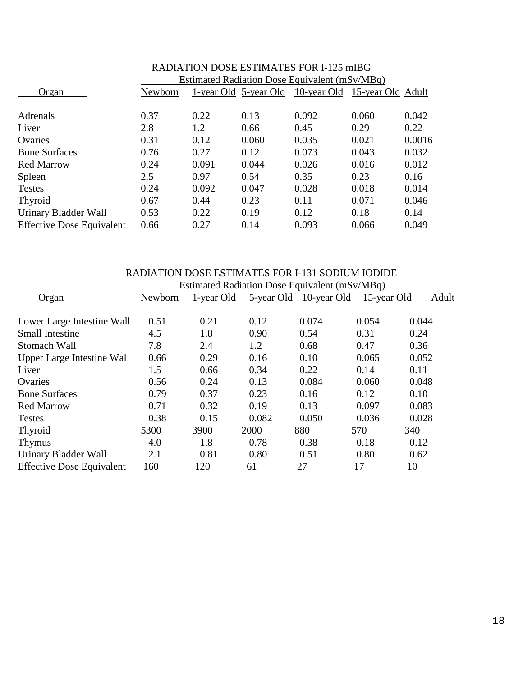|                                  | 1871 RICH DOOL EQUIVIATED FOR 1-12.7 IIIID O  |       |       |                                                     |       |        |  |  |
|----------------------------------|-----------------------------------------------|-------|-------|-----------------------------------------------------|-------|--------|--|--|
|                                  | Estimated Radiation Dose Equivalent (mSv/MBq) |       |       |                                                     |       |        |  |  |
| Organ                            | Newborn                                       |       |       | 1-year Old 5-year Old 10-year Old 15-year Old Adult |       |        |  |  |
|                                  |                                               |       |       |                                                     |       |        |  |  |
| Adrenals                         | 0.37                                          | 0.22  | 0.13  | 0.092                                               | 0.060 | 0.042  |  |  |
| Liver                            | 2.8                                           | 1.2   | 0.66  | 0.45                                                | 0.29  | 0.22   |  |  |
| Ovaries                          | 0.31                                          | 0.12  | 0.060 | 0.035                                               | 0.021 | 0.0016 |  |  |
| <b>Bone Surfaces</b>             | 0.76                                          | 0.27  | 0.12  | 0.073                                               | 0.043 | 0.032  |  |  |
| <b>Red Marrow</b>                | 0.24                                          | 0.091 | 0.044 | 0.026                                               | 0.016 | 0.012  |  |  |
| Spleen                           | 2.5                                           | 0.97  | 0.54  | 0.35                                                | 0.23  | 0.16   |  |  |
| <b>Testes</b>                    | 0.24                                          | 0.092 | 0.047 | 0.028                                               | 0.018 | 0.014  |  |  |
| Thyroid                          | 0.67                                          | 0.44  | 0.23  | 0.11                                                | 0.071 | 0.046  |  |  |
| Urinary Bladder Wall             | 0.53                                          | 0.22  | 0.19  | 0.12                                                | 0.18  | 0.14   |  |  |
| <b>Effective Dose Equivalent</b> | 0.66                                          | 0.27  | 0.14  | 0.093                                               | 0.066 | 0.049  |  |  |

# RADIATION DOSE ESTIMATES FOR I-125 mIBG

#### RADIATION DOSE ESTIMATES FOR I-131 SODIUM IODIDE Estimated Radiation Dose Equivalent (mSv/MBq)

|                                  | Estimated Natitation Dose Equivalent (mp v/widy) |            |            |             |             |       |  |
|----------------------------------|--------------------------------------------------|------------|------------|-------------|-------------|-------|--|
| Organ                            | Newborn                                          | 1-year Old | 5-year Old | 10-year Old | 15-year Old | Adult |  |
| Lower Large Intestine Wall       | 0.51                                             | 0.21       | 0.12       | 0.074       | 0.054       | 0.044 |  |
| <b>Small Intestine</b>           | 4.5                                              | 1.8        | 0.90       | 0.54        | 0.31        | 0.24  |  |
| Stomach Wall                     | 7.8                                              | 2.4        | 1.2        | 0.68        | 0.47        | 0.36  |  |
| Upper Large Intestine Wall       | 0.66                                             | 0.29       | 0.16       | 0.10        | 0.065       | 0.052 |  |
| Liver                            | 1.5                                              | 0.66       | 0.34       | 0.22        | 0.14        | 0.11  |  |
| Ovaries                          | 0.56                                             | 0.24       | 0.13       | 0.084       | 0.060       | 0.048 |  |
| <b>Bone Surfaces</b>             | 0.79                                             | 0.37       | 0.23       | 0.16        | 0.12        | 0.10  |  |
| <b>Red Marrow</b>                | 0.71                                             | 0.32       | 0.19       | 0.13        | 0.097       | 0.083 |  |
| <b>Testes</b>                    | 0.38                                             | 0.15       | 0.082      | 0.050       | 0.036       | 0.028 |  |
| Thyroid                          | 5300                                             | 3900       | 2000       | 880         | 570         | 340   |  |
| <b>Thymus</b>                    | 4.0                                              | 1.8        | 0.78       | 0.38        | 0.18        | 0.12  |  |
| Urinary Bladder Wall             | 2.1                                              | 0.81       | 0.80       | 0.51        | 0.80        | 0.62  |  |
| <b>Effective Dose Equivalent</b> | 160                                              | 120        | 61         | 27          | 17          | 10    |  |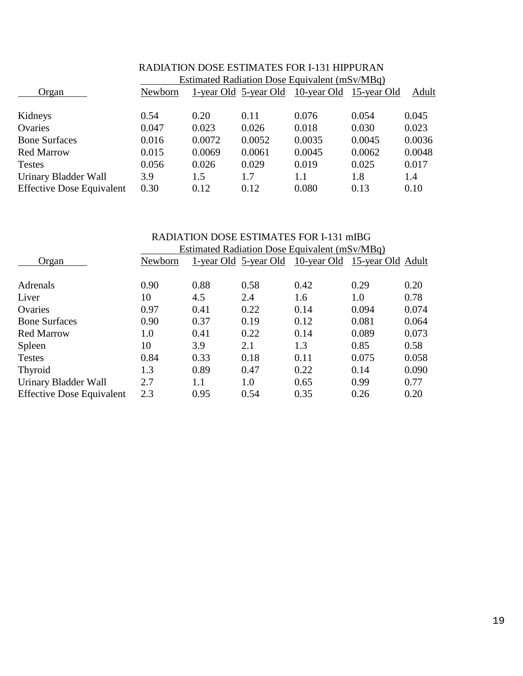|                                  | Estimated Radiation Dose Equivalent (mSv/MBq) |        |                       |                         |        |        |  |
|----------------------------------|-----------------------------------------------|--------|-----------------------|-------------------------|--------|--------|--|
| Organ                            | Newborn                                       |        | 1-year Old 5-year Old | 10-year Old 15-year Old |        | Adult  |  |
| Kidneys                          | 0.54                                          | 0.20   | 0.11                  | 0.076                   | 0.054  | 0.045  |  |
| Ovaries                          | 0.047                                         | 0.023  | 0.026                 | 0.018                   | 0.030  | 0.023  |  |
| <b>Bone Surfaces</b>             | 0.016                                         | 0.0072 | 0.0052                | 0.0035                  | 0.0045 | 0.0036 |  |
| <b>Red Marrow</b>                | 0.015                                         | 0.0069 | 0.0061                | 0.0045                  | 0.0062 | 0.0048 |  |
| <b>Testes</b>                    | 0.056                                         | 0.026  | 0.029                 | 0.019                   | 0.025  | 0.017  |  |
| Urinary Bladder Wall             | 3.9                                           | 1.5    | 1.7                   | 1.1                     | 1.8    | 1.4    |  |
| <b>Effective Dose Equivalent</b> | 0.30                                          | 0.12   | 0.12                  | 0.080                   | 0.13   | 0.10   |  |

# RADIATION DOSE ESTIMATES FOR I-131 HIPPURAN

#### RADIATION DOSE ESTIMATES FOR I-131 mIBG Estimated Radiation Dose Equivalent (mSv/MBq)

|                                  | ESUTHARCU NAUTATION DOSC EQUIVAICHT (THIS V/IVIDU) |                       |      |                               |       |       |  |
|----------------------------------|----------------------------------------------------|-----------------------|------|-------------------------------|-------|-------|--|
| Organ                            | Newborn                                            | 1-year Old 5-year Old |      | 10-year Old 15-year Old Adult |       |       |  |
| Adrenals                         | 0.90                                               | 0.88                  | 0.58 | 0.42                          | 0.29  | 0.20  |  |
| Liver                            | 10                                                 | 4.5                   | 2.4  | 1.6                           | 1.0   | 0.78  |  |
| Ovaries                          | 0.97                                               | 0.41                  | 0.22 | 0.14                          | 0.094 | 0.074 |  |
| <b>Bone Surfaces</b>             | 0.90                                               | 0.37                  | 0.19 | 0.12                          | 0.081 | 0.064 |  |
| <b>Red Marrow</b>                | 1.0                                                | 0.41                  | 0.22 | 0.14                          | 0.089 | 0.073 |  |
| Spleen                           | 10                                                 | 3.9                   | 2.1  | 1.3                           | 0.85  | 0.58  |  |
| <b>Testes</b>                    | 0.84                                               | 0.33                  | 0.18 | 0.11                          | 0.075 | 0.058 |  |
| Thyroid                          | 1.3                                                | 0.89                  | 0.47 | 0.22                          | 0.14  | 0.090 |  |
| Urinary Bladder Wall             | 2.7                                                | 1.1                   | 1.0  | 0.65                          | 0.99  | 0.77  |  |
| <b>Effective Dose Equivalent</b> | 2.3                                                | 0.95                  | 0.54 | 0.35                          | 0.26  | 0.20  |  |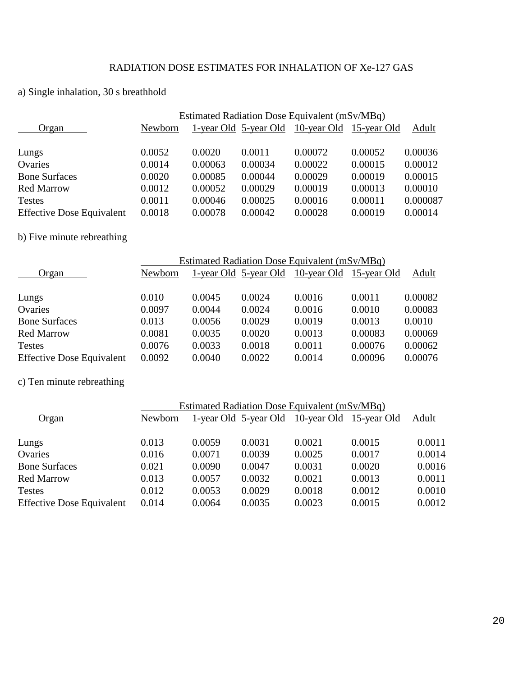## a) Single inhalation, 30 s breathhold

|                                  | Estimated Radiation Dose Equivalent (mSv/MBq) |         |                       |                         |         |          |  |  |
|----------------------------------|-----------------------------------------------|---------|-----------------------|-------------------------|---------|----------|--|--|
| Organ                            | Newborn                                       |         | 1-year Old 5-year Old | 10-year Old 15-year Old |         | Adult    |  |  |
|                                  |                                               |         |                       |                         |         |          |  |  |
| Lungs                            | 0.0052                                        | 0.0020  | 0.0011                | 0.00072                 | 0.00052 | 0.00036  |  |  |
| Ovaries                          | 0.0014                                        | 0.00063 | 0.00034               | 0.00022                 | 0.00015 | 0.00012  |  |  |
| <b>Bone Surfaces</b>             | 0.0020                                        | 0.00085 | 0.00044               | 0.00029                 | 0.00019 | 0.00015  |  |  |
| <b>Red Marrow</b>                | 0.0012                                        | 0.00052 | 0.00029               | 0.00019                 | 0.00013 | 0.00010  |  |  |
| <b>Testes</b>                    | 0.0011                                        | 0.00046 | 0.00025               | 0.00016                 | 0.00011 | 0.000087 |  |  |
| <b>Effective Dose Equivalent</b> | 0.0018                                        | 0.00078 | 0.00042               | 0.00028                 | 0.00019 | 0.00014  |  |  |

# b) Five minute rebreathing

|                                  | Estimated Radiation Dose Equivalent (mSv/MBq) |        |        |                                               |         |         |  |  |
|----------------------------------|-----------------------------------------------|--------|--------|-----------------------------------------------|---------|---------|--|--|
| Organ                            | Newborn                                       |        |        | 1-year Old 5-year Old 10-year Old 15-year Old |         | Adult   |  |  |
|                                  |                                               |        |        |                                               |         |         |  |  |
| Lungs                            | 0.010                                         | 0.0045 | 0.0024 | 0.0016                                        | 0.0011  | 0.00082 |  |  |
| Ovaries                          | 0.0097                                        | 0.0044 | 0.0024 | 0.0016                                        | 0.0010  | 0.00083 |  |  |
| <b>Bone Surfaces</b>             | 0.013                                         | 0.0056 | 0.0029 | 0.0019                                        | 0.0013  | 0.0010  |  |  |
| <b>Red Marrow</b>                | 0.0081                                        | 0.0035 | 0.0020 | 0.0013                                        | 0.00083 | 0.00069 |  |  |
| <b>Testes</b>                    | 0.0076                                        | 0.0033 | 0.0018 | 0.0011                                        | 0.00076 | 0.00062 |  |  |
| <b>Effective Dose Equivalent</b> | 0.0092                                        | 0.0040 | 0.0022 | 0.0014                                        | 0.00096 | 0.00076 |  |  |

# c) Ten minute rebreathing

|                                  | Estimated Radiation Dose Equivalent (mSv/MBq) |        |                       |                         |        |        |  |  |  |
|----------------------------------|-----------------------------------------------|--------|-----------------------|-------------------------|--------|--------|--|--|--|
| Organ                            | Newborn                                       |        | 1-year Old 5-year Old | 10-year Old 15-year Old |        | Adult  |  |  |  |
|                                  |                                               |        |                       |                         |        |        |  |  |  |
| Lungs                            | 0.013                                         | 0.0059 | 0.0031                | 0.0021                  | 0.0015 | 0.0011 |  |  |  |
| Ovaries                          | 0.016                                         | 0.0071 | 0.0039                | 0.0025                  | 0.0017 | 0.0014 |  |  |  |
| <b>Bone Surfaces</b>             | 0.021                                         | 0.0090 | 0.0047                | 0.0031                  | 0.0020 | 0.0016 |  |  |  |
| <b>Red Marrow</b>                | 0.013                                         | 0.0057 | 0.0032                | 0.0021                  | 0.0013 | 0.0011 |  |  |  |
| <b>Testes</b>                    | 0.012                                         | 0.0053 | 0.0029                | 0.0018                  | 0.0012 | 0.0010 |  |  |  |
| <b>Effective Dose Equivalent</b> | 0.014                                         | 0.0064 | 0.0035                | 0.0023                  | 0.0015 | 0.0012 |  |  |  |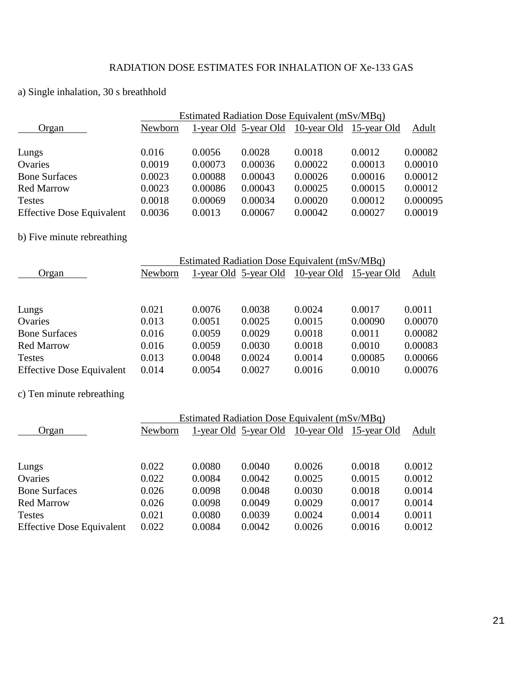## RADIATION DOSE ESTIMATES FOR INHALATION OF Xe-133 GAS

## a) Single inhalation, 30 s breathhold

|                                  | Estimated Radiation Dose Equivalent (mSv/MBq) |         |                       |                         |         |          |  |  |
|----------------------------------|-----------------------------------------------|---------|-----------------------|-------------------------|---------|----------|--|--|
| Organ                            | Newborn                                       |         | 1-year Old 5-year Old | 10-year Old 15-year Old |         | Adult    |  |  |
|                                  | 0.016                                         | 0.0056  | 0.0028                | 0.0018                  | 0.0012  | 0.00082  |  |  |
| Lungs                            |                                               |         |                       |                         |         |          |  |  |
| Ovaries                          | 0.0019                                        | 0.00073 | 0.00036               | 0.00022                 | 0.00013 | 0.00010  |  |  |
| <b>Bone Surfaces</b>             | 0.0023                                        | 0.00088 | 0.00043               | 0.00026                 | 0.00016 | 0.00012  |  |  |
| <b>Red Marrow</b>                | 0.0023                                        | 0.00086 | 0.00043               | 0.00025                 | 0.00015 | 0.00012  |  |  |
| <b>Testes</b>                    | 0.0018                                        | 0.00069 | 0.00034               | 0.00020                 | 0.00012 | 0.000095 |  |  |
| <b>Effective Dose Equivalent</b> | 0.0036                                        | 0.0013  | 0.00067               | 0.00042                 | 0.00027 | 0.00019  |  |  |

# b) Five minute rebreathing

|                                  |         | Estimated Radiation Dose Equivalent (mSv/MBq) |                       |             |             |         |  |
|----------------------------------|---------|-----------------------------------------------|-----------------------|-------------|-------------|---------|--|
| Organ                            | Newborn |                                               | 1-year Old 5-year Old | 10-year Old | 15-year Old | Adult   |  |
|                                  |         |                                               |                       |             |             |         |  |
|                                  |         |                                               |                       |             |             |         |  |
| Lungs                            | 0.021   | 0.0076                                        | 0.0038                | 0.0024      | 0.0017      | 0.0011  |  |
| Ovaries                          | 0.013   | 0.0051                                        | 0.0025                | 0.0015      | 0.00090     | 0.00070 |  |
| <b>Bone Surfaces</b>             | 0.016   | 0.0059                                        | 0.0029                | 0.0018      | 0.0011      | 0.00082 |  |
| <b>Red Marrow</b>                | 0.016   | 0.0059                                        | 0.0030                | 0.0018      | 0.0010      | 0.00083 |  |
| <b>Testes</b>                    | 0.013   | 0.0048                                        | 0.0024                | 0.0014      | 0.00085     | 0.00066 |  |
| <b>Effective Dose Equivalent</b> | 0.014   | 0.0054                                        | 0.0027                | 0.0016      | 0.0010      | 0.00076 |  |

## c) Ten minute rebreathing

|                                  | Estimated Radiation Dose Equivalent (mSv/MBq) |        |                       |        |                         |        |  |
|----------------------------------|-----------------------------------------------|--------|-----------------------|--------|-------------------------|--------|--|
| Organ                            | Newborn                                       |        | 1-year Old 5-year Old |        | 10-year Old 15-year Old | Adult  |  |
|                                  |                                               |        |                       |        |                         |        |  |
|                                  |                                               |        |                       |        |                         |        |  |
| Lungs                            | 0.022                                         | 0.0080 | 0.0040                | 0.0026 | 0.0018                  | 0.0012 |  |
| Ovaries                          | 0.022                                         | 0.0084 | 0.0042                | 0.0025 | 0.0015                  | 0.0012 |  |
| <b>Bone Surfaces</b>             | 0.026                                         | 0.0098 | 0.0048                | 0.0030 | 0.0018                  | 0.0014 |  |
| <b>Red Marrow</b>                | 0.026                                         | 0.0098 | 0.0049                | 0.0029 | 0.0017                  | 0.0014 |  |
| <b>Testes</b>                    | 0.021                                         | 0.0080 | 0.0039                | 0.0024 | 0.0014                  | 0.0011 |  |
| <b>Effective Dose Equivalent</b> | 0.022                                         | 0.0084 | 0.0042                | 0.0026 | 0.0016                  | 0.0012 |  |